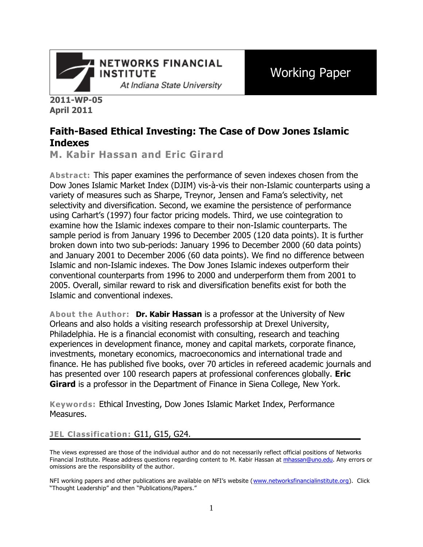

Working Paper

**2011-WP-05 April 2011**

# **Faith-Based Ethical Investing: The Case of Dow Jones Islamic Indexes**

**M. Kabir Hassan and Eric Girard**

**Abstract:** This paper examines the performance of seven indexes chosen from the Dow Jones Islamic Market Index (DJIM) vis-à-vis their non-Islamic counterparts using a variety of measures such as Sharpe, Treynor, Jensen and Fama's selectivity, net selectivity and diversification. Second, we examine the persistence of performance using Carhart's (1997) four factor pricing models. Third, we use cointegration to examine how the Islamic indexes compare to their non-Islamic counterparts. The sample period is from January 1996 to December 2005 (120 data points). It is further broken down into two sub-periods: January 1996 to December 2000 (60 data points) and January 2001 to December 2006 (60 data points). We find no difference between Islamic and non-Islamic indexes. The Dow Jones Islamic indexes outperform their conventional counterparts from 1996 to 2000 and underperform them from 2001 to 2005. Overall, similar reward to risk and diversification benefits exist for both the Islamic and conventional indexes.

**About the Author: Dr. Kabir Hassan** is a professor at the University of New Orleans and also holds a visiting research professorship at Drexel University, Philadelphia. He is a financial economist with consulting, research and teaching experiences in development finance, money and capital markets, corporate finance, investments, monetary economics, macroeconomics and international trade and finance. He has published five books, over 70 articles in refereed academic journals and has presented over 100 research papers at professional conferences globally. **Eric Girard** is a professor in the Department of Finance in Siena College, New York.

**Keywords:** Ethical Investing, Dow Jones Islamic Market Index, Performance Measures.

## **JEL Classification:** G11, G15, G24.

The views expressed are those of the individual author and do not necessarily reflect official positions of Networks Financial Institute. Please address questions regarding content to M. Kabir Hassan at [mhassan@uno.edu.](mailto:mhassan@uno.edu) Any errors or omissions are the responsibility of the author.

NFI working papers and other publications are available on NFI's website ([www.networksfinancialinstitute.org\)](http://www.networksfinancialinstitute.org/). Click "Thought Leadership" and then "Publications/Papers."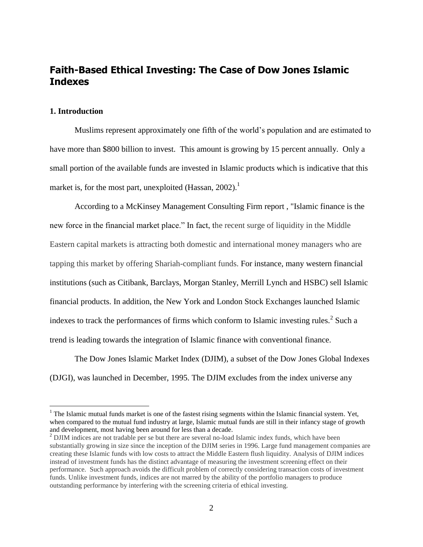# **Faith-Based Ethical Investing: The Case of Dow Jones Islamic Indexes**

#### **1. Introduction**

 $\overline{a}$ 

Muslims represent approximately one fifth of the world's population and are estimated to have more than \$800 billion to invest. This amount is growing by 15 percent annually. Only a small portion of the available funds are invested in Islamic products which is indicative that this market is, for the most part, unexploited (Hassan,  $2002$ ).<sup>1</sup>

According to a McKinsey Management Consulting Firm report , "Islamic finance is the new force in the financial market place." In fact, the recent surge of liquidity in the Middle Eastern capital markets is attracting both domestic and international money managers who are tapping this market by offering Shariah-compliant funds. For instance, many western financial institutions (such as Citibank, Barclays, Morgan Stanley, Merrill Lynch and HSBC) sell Islamic financial products. In addition, the New York and London Stock Exchanges launched Islamic indexes to track the performances of firms which conform to Islamic investing rules.<sup>2</sup> Such a trend is leading towards the integration of Islamic finance with conventional finance.

The Dow Jones Islamic Market Index (DJIM), a subset of the Dow Jones Global Indexes (DJGI), was launched in December, 1995. The DJIM excludes from the index universe any

<sup>&</sup>lt;sup>1</sup> The Islamic mutual funds market is one of the fastest rising segments within the Islamic financial system. Yet, when compared to the mutual fund industry at large, Islamic mutual funds are still in their infancy stage of growth and development, most having been around for less than a decade.

<sup>&</sup>lt;sup>2</sup> DJIM indices are not tradable per se but there are several no-load Islamic index funds, which have been substantially growing in size since the inception of the DJIM series in 1996. Large fund management companies are creating these Islamic funds with low costs to attract the Middle Eastern flush liquidity. Analysis of DJIM indices instead of investment funds has the distinct advantage of measuring the investment screening effect on their performance. Such approach avoids the difficult problem of correctly considering transaction costs of investment funds. Unlike investment funds, indices are not marred by the ability of the portfolio managers to produce outstanding performance by interfering with the screening criteria of ethical investing.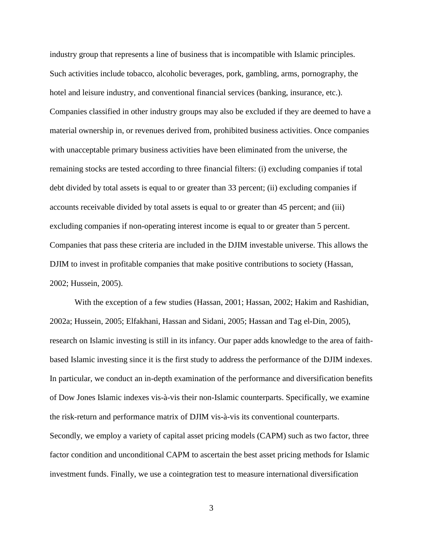industry group that represents a line of business that is incompatible with Islamic principles. Such activities include tobacco, alcoholic beverages, pork, gambling, arms, pornography, the hotel and leisure industry, and conventional financial services (banking, insurance, etc.). Companies classified in other industry groups may also be excluded if they are deemed to have a material ownership in, or revenues derived from, prohibited business activities. Once companies with unacceptable primary business activities have been eliminated from the universe, the remaining stocks are tested according to three financial filters: (i) excluding companies if total debt divided by total assets is equal to or greater than 33 percent; (ii) excluding companies if accounts receivable divided by total assets is equal to or greater than 45 percent; and (iii) excluding companies if non-operating interest income is equal to or greater than 5 percent. Companies that pass these criteria are included in the DJIM investable universe. This allows the DJIM to invest in profitable companies that make positive contributions to society (Hassan, 2002; Hussein, 2005).

With the exception of a few studies (Hassan, 2001; Hassan, 2002; Hakim and Rashidian, 2002a; Hussein, 2005; Elfakhani, Hassan and Sidani, 2005; Hassan and Tag el-Din, 2005), research on Islamic investing is still in its infancy. Our paper adds knowledge to the area of faithbased Islamic investing since it is the first study to address the performance of the DJIM indexes. In particular, we conduct an in-depth examination of the performance and diversification benefits of Dow Jones Islamic indexes vis-à-vis their non-Islamic counterparts. Specifically, we examine the risk-return and performance matrix of DJIM vis-à-vis its conventional counterparts. Secondly, we employ a variety of capital asset pricing models (CAPM) such as two factor, three factor condition and unconditional CAPM to ascertain the best asset pricing methods for Islamic investment funds. Finally, we use a cointegration test to measure international diversification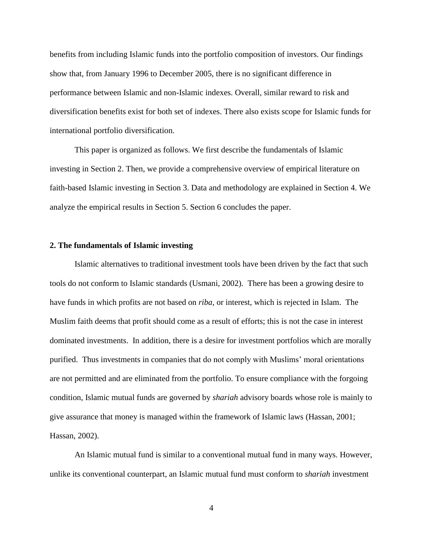benefits from including Islamic funds into the portfolio composition of investors. Our findings show that, from January 1996 to December 2005, there is no significant difference in performance between Islamic and non-Islamic indexes. Overall, similar reward to risk and diversification benefits exist for both set of indexes. There also exists scope for Islamic funds for international portfolio diversification.

This paper is organized as follows. We first describe the fundamentals of Islamic investing in Section 2. Then, we provide a comprehensive overview of empirical literature on faith-based Islamic investing in Section 3. Data and methodology are explained in Section 4. We analyze the empirical results in Section 5. Section 6 concludes the paper.

#### **2. The fundamentals of Islamic investing**

Islamic alternatives to traditional investment tools have been driven by the fact that such tools do not conform to Islamic standards (Usmani, 2002)*.* There has been a growing desire to have funds in which profits are not based on *riba*, or interest, which is rejected in Islam. The Muslim faith deems that profit should come as a result of efforts; this is not the case in interest dominated investments. In addition, there is a desire for investment portfolios which are morally purified. Thus investments in companies that do not comply with Muslims' moral orientations are not permitted and are eliminated from the portfolio. To ensure compliance with the forgoing condition, Islamic mutual funds are governed by *shariah* advisory boards whose role is mainly to give assurance that money is managed within the framework of Islamic laws (Hassan, 2001; Hassan, 2002).

An Islamic mutual fund is similar to a conventional mutual fund in many ways. However, unlike its conventional counterpart, an Islamic mutual fund must conform to *shariah* investment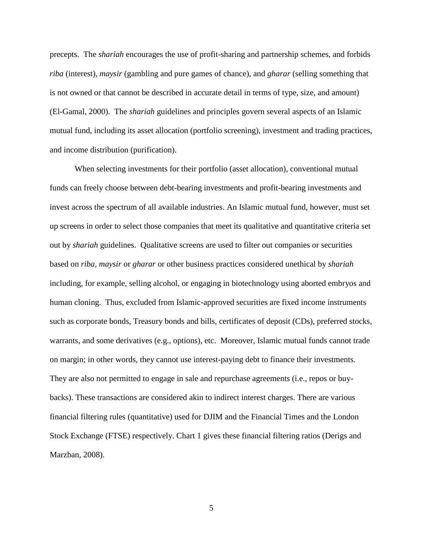precepts. The *shariah* encourages the use of profit-sharing and partnership schemes, and forbids *riba* (interest), *maysir* (gambling and pure games of chance), and *gharar* (selling something that is not owned or that cannot be described in accurate detail in terms of type, size, and amount) (El-Gamal, 2000). The *shariah* guidelines and principles govern several aspects of an Islamic mutual fund, including its asset allocation (portfolio screening), investment and trading practices, and income distribution (purification).

When selecting investments for their portfolio (asset allocation), conventional mutual funds can freely choose between debt-bearing investments and profit-bearing investments and invest across the spectrum of all available industries. An Islamic mutual fund, however, must set up screens in order to select those companies that meet its qualitative and quantitative criteria set out by *shariah* guidelines. Qualitative screens are used to filter out companies or securities based on *riba, maysir* or *gharar* or other business practices considered unethical by *shariah* including, for example, selling alcohol, or engaging in biotechnology using aborted embryos and human cloning. Thus, excluded from Islamic-approved securities are fixed income instruments such as corporate bonds, Treasury bonds and bills, certificates of deposit (CDs), preferred stocks, warrants, and some derivatives (e.g., options), etc. Moreover, Islamic mutual funds cannot trade on margin; in other words, they cannot use interest-paying debt to finance their investments. They are also not permitted to engage in sale and repurchase agreements (i.e., repos or buybacks). These transactions are considered akin to indirect interest charges. There are various financial filtering rules (quantitative) used for DJIM and the Financial Times and the London Stock Exchange (FTSE) respectively. Chart 1 gives these financial filtering ratios (Derigs and Marzban, 2008).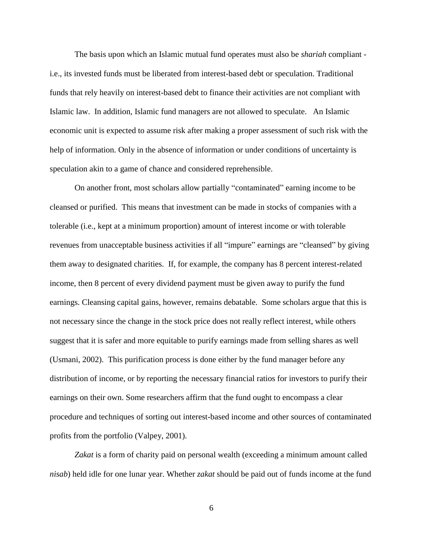The basis upon which an Islamic mutual fund operates must also be *shariah* compliant i.e., its invested funds must be liberated from interest-based debt or speculation. Traditional funds that rely heavily on interest-based debt to finance their activities are not compliant with Islamic law. In addition, Islamic fund managers are not allowed to speculate. An Islamic economic unit is expected to assume risk after making a proper assessment of such risk with the help of information. Only in the absence of information or under conditions of uncertainty is speculation akin to a game of chance and considered reprehensible.

On another front, most scholars allow partially "contaminated" earning income to be cleansed or purified. This means that investment can be made in stocks of companies with a tolerable (i.e., kept at a minimum proportion) amount of interest income or with tolerable revenues from unacceptable business activities if all "impure" earnings are "cleansed" by giving them away to designated charities. If, for example, the company has 8 percent interest-related income, then 8 percent of every dividend payment must be given away to purify the fund earnings. Cleansing capital gains, however, remains debatable. Some scholars argue that this is not necessary since the change in the stock price does not really reflect interest, while others suggest that it is safer and more equitable to purify earnings made from selling shares as well (Usmani, 2002). This purification process is done either by the fund manager before any distribution of income, or by reporting the necessary financial ratios for investors to purify their earnings on their own. Some researchers affirm that the fund ought to encompass a clear procedure and techniques of sorting out interest-based income and other sources of contaminated profits from the portfolio (Valpey, 2001).

*Zakat* is a form of charity paid on personal wealth (exceeding a minimum amount called *nisab*) held idle for one lunar year. Whether *zakat* should be paid out of funds income at the fund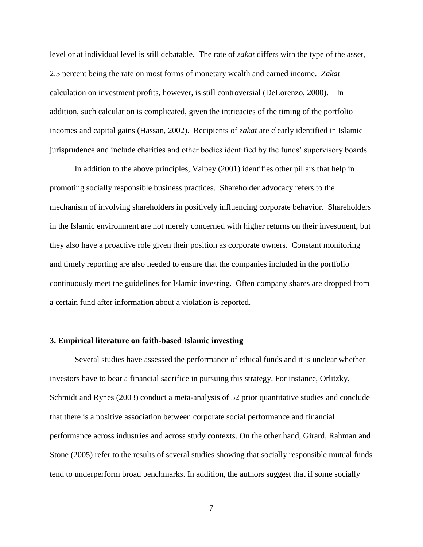level or at individual level is still debatable. The rate of *zakat* differs with the type of the asset, 2.5 percent being the rate on most forms of monetary wealth and earned income. *Zakat* calculation on investment profits, however, is still controversial (DeLorenzo, 2000). In addition, such calculation is complicated, given the intricacies of the timing of the portfolio incomes and capital gains (Hassan, 2002). Recipients of *zakat* are clearly identified in Islamic jurisprudence and include charities and other bodies identified by the funds' supervisory boards.

In addition to the above principles, Valpey (2001) identifies other pillars that help in promoting socially responsible business practices. Shareholder advocacy refers to the mechanism of involving shareholders in positively influencing corporate behavior. Shareholders in the Islamic environment are not merely concerned with higher returns on their investment, but they also have a proactive role given their position as corporate owners. Constant monitoring and timely reporting are also needed to ensure that the companies included in the portfolio continuously meet the guidelines for Islamic investing. Often company shares are dropped from a certain fund after information about a violation is reported.

#### **3. Empirical literature on faith-based Islamic investing**

Several studies have assessed the performance of ethical funds and it is unclear whether investors have to bear a financial sacrifice in pursuing this strategy. For instance, Orlitzky, Schmidt and Rynes (2003) conduct a meta-analysis of 52 prior quantitative studies and conclude that there is a positive association between corporate social performance and financial performance across industries and across study contexts. On the other hand, Girard, Rahman and Stone (2005) refer to the results of several studies showing that socially responsible mutual funds tend to underperform broad benchmarks. In addition, the authors suggest that if some socially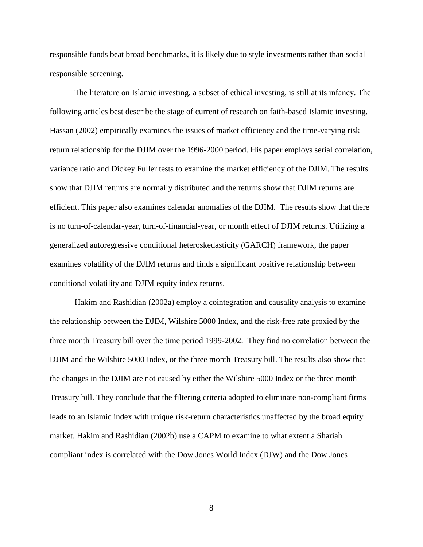responsible funds beat broad benchmarks, it is likely due to style investments rather than social responsible screening.

The literature on Islamic investing, a subset of ethical investing, is still at its infancy. The following articles best describe the stage of current of research on faith-based Islamic investing. Hassan (2002) empirically examines the issues of market efficiency and the time-varying risk return relationship for the DJIM over the 1996-2000 period. His paper employs serial correlation, variance ratio and Dickey Fuller tests to examine the market efficiency of the DJIM. The results show that DJIM returns are normally distributed and the returns show that DJIM returns are efficient. This paper also examines calendar anomalies of the DJIM. The results show that there is no turn-of-calendar-year, turn-of-financial-year, or month effect of DJIM returns. Utilizing a generalized autoregressive conditional heteroskedasticity (GARCH) framework, the paper examines volatility of the DJIM returns and finds a significant positive relationship between conditional volatility and DJIM equity index returns.

Hakim and Rashidian (2002a) employ a cointegration and causality analysis to examine the relationship between the DJIM, Wilshire 5000 Index, and the risk-free rate proxied by the three month Treasury bill over the time period 1999-2002. They find no correlation between the DJIM and the Wilshire 5000 Index, or the three month Treasury bill. The results also show that the changes in the DJIM are not caused by either the Wilshire 5000 Index or the three month Treasury bill. They conclude that the filtering criteria adopted to eliminate non-compliant firms leads to an Islamic index with unique risk-return characteristics unaffected by the broad equity market. Hakim and Rashidian (2002b) use a CAPM to examine to what extent a Shariah compliant index is correlated with the Dow Jones World Index (DJW) and the Dow Jones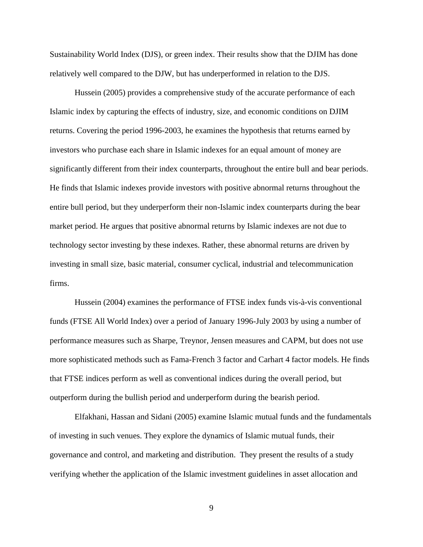Sustainability World Index (DJS), or green index. Their results show that the DJIM has done relatively well compared to the DJW, but has underperformed in relation to the DJS.

Hussein (2005) provides a comprehensive study of the accurate performance of each Islamic index by capturing the effects of industry, size, and economic conditions on DJIM returns. Covering the period 1996-2003, he examines the hypothesis that returns earned by investors who purchase each share in Islamic indexes for an equal amount of money are significantly different from their index counterparts, throughout the entire bull and bear periods. He finds that Islamic indexes provide investors with positive abnormal returns throughout the entire bull period, but they underperform their non-Islamic index counterparts during the bear market period. He argues that positive abnormal returns by Islamic indexes are not due to technology sector investing by these indexes. Rather, these abnormal returns are driven by investing in small size, basic material, consumer cyclical, industrial and telecommunication firms.

Hussein (2004) examines the performance of FTSE index funds vis-à-vis conventional funds (FTSE All World Index) over a period of January 1996-July 2003 by using a number of performance measures such as Sharpe, Treynor, Jensen measures and CAPM, but does not use more sophisticated methods such as Fama-French 3 factor and Carhart 4 factor models. He finds that FTSE indices perform as well as conventional indices during the overall period, but outperform during the bullish period and underperform during the bearish period.

Elfakhani, Hassan and Sidani (2005) examine Islamic mutual funds and the fundamentals of investing in such venues. They explore the dynamics of Islamic mutual funds, their governance and control, and marketing and distribution. They present the results of a study verifying whether the application of the Islamic investment guidelines in asset allocation and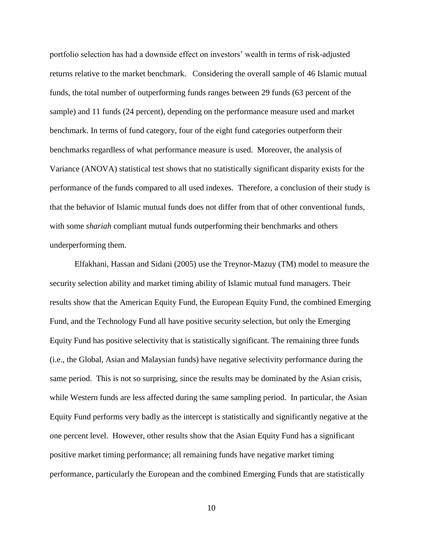portfolio selection has had a downside effect on investors' wealth in terms of risk-adjusted returns relative to the market benchmark. Considering the overall sample of 46 Islamic mutual funds, the total number of outperforming funds ranges between 29 funds (63 percent of the sample) and 11 funds (24 percent), depending on the performance measure used and market benchmark. In terms of fund category, four of the eight fund categories outperform their benchmarks regardless of what performance measure is used. Moreover, the analysis of Variance (ANOVA) statistical test shows that no statistically significant disparity exists for the performance of the funds compared to all used indexes. Therefore, a conclusion of their study is that the behavior of Islamic mutual funds does not differ from that of other conventional funds, with some *shariah* compliant mutual funds outperforming their benchmarks and others underperforming them.

Elfakhani, Hassan and Sidani (2005) use the Treynor-Mazuy (TM) model to measure the security selection ability and market timing ability of Islamic mutual fund managers. Their results show that the American Equity Fund, the European Equity Fund, the combined Emerging Fund, and the Technology Fund all have positive security selection, but only the Emerging Equity Fund has positive selectivity that is statistically significant. The remaining three funds (i.e., the Global, Asian and Malaysian funds) have negative selectivity performance during the same period. This is not so surprising, since the results may be dominated by the Asian crisis, while Western funds are less affected during the same sampling period. In particular, the Asian Equity Fund performs very badly as the intercept is statistically and significantly negative at the one percent level. However, other results show that the Asian Equity Fund has a significant positive market timing performance; all remaining funds have negative market timing performance, particularly the European and the combined Emerging Funds that are statistically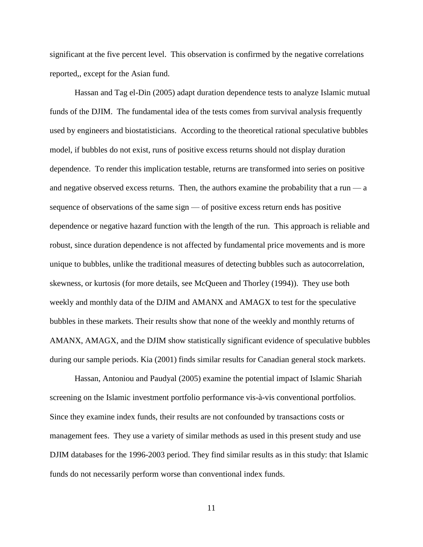significant at the five percent level. This observation is confirmed by the negative correlations reported,, except for the Asian fund.

Hassan and Tag el-Din (2005) adapt duration dependence tests to analyze Islamic mutual funds of the DJIM. The fundamental idea of the tests comes from survival analysis frequently used by engineers and biostatisticians. According to the theoretical rational speculative bubbles model, if bubbles do not exist, runs of positive excess returns should not display duration dependence. To render this implication testable, returns are transformed into series on positive and negative observed excess returns. Then, the authors examine the probability that a run — a sequence of observations of the same sign — of positive excess return ends has positive dependence or negative hazard function with the length of the run. This approach is reliable and robust, since duration dependence is not affected by fundamental price movements and is more unique to bubbles, unlike the traditional measures of detecting bubbles such as autocorrelation, skewness, or kurtosis (for more details, see McQueen and Thorley (1994)). They use both weekly and monthly data of the DJIM and AMANX and AMAGX to test for the speculative bubbles in these markets. Their results show that none of the weekly and monthly returns of AMANX, AMAGX, and the DJIM show statistically significant evidence of speculative bubbles during our sample periods. Kia (2001) finds similar results for Canadian general stock markets.

Hassan, Antoniou and Paudyal (2005) examine the potential impact of Islamic Shariah screening on the Islamic investment portfolio performance vis-à-vis conventional portfolios. Since they examine index funds, their results are not confounded by transactions costs or management fees. They use a variety of similar methods as used in this present study and use DJIM databases for the 1996-2003 period. They find similar results as in this study: that Islamic funds do not necessarily perform worse than conventional index funds.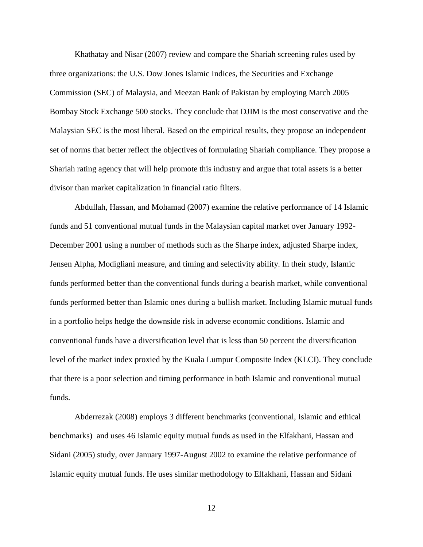Khathatay and Nisar (2007) review and compare the Shariah screening rules used by three organizations: the U.S. Dow Jones Islamic Indices, the Securities and Exchange Commission (SEC) of Malaysia, and Meezan Bank of Pakistan by employing March 2005 Bombay Stock Exchange 500 stocks. They conclude that DJIM is the most conservative and the Malaysian SEC is the most liberal. Based on the empirical results, they propose an independent set of norms that better reflect the objectives of formulating Shariah compliance. They propose a Shariah rating agency that will help promote this industry and argue that total assets is a better divisor than market capitalization in financial ratio filters.

Abdullah, Hassan, and Mohamad (2007) examine the relative performance of 14 Islamic funds and 51 conventional mutual funds in the Malaysian capital market over January 1992- December 2001 using a number of methods such as the Sharpe index, adjusted Sharpe index, Jensen Alpha, Modigliani measure, and timing and selectivity ability. In their study, Islamic funds performed better than the conventional funds during a bearish market, while conventional funds performed better than Islamic ones during a bullish market. Including Islamic mutual funds in a portfolio helps hedge the downside risk in adverse economic conditions. Islamic and conventional funds have a diversification level that is less than 50 percent the diversification level of the market index proxied by the Kuala Lumpur Composite Index (KLCI). They conclude that there is a poor selection and timing performance in both Islamic and conventional mutual funds.

Abderrezak (2008) employs 3 different benchmarks (conventional, Islamic and ethical benchmarks) and uses 46 Islamic equity mutual funds as used in the Elfakhani, Hassan and Sidani (2005) study, over January 1997-August 2002 to examine the relative performance of Islamic equity mutual funds. He uses similar methodology to Elfakhani, Hassan and Sidani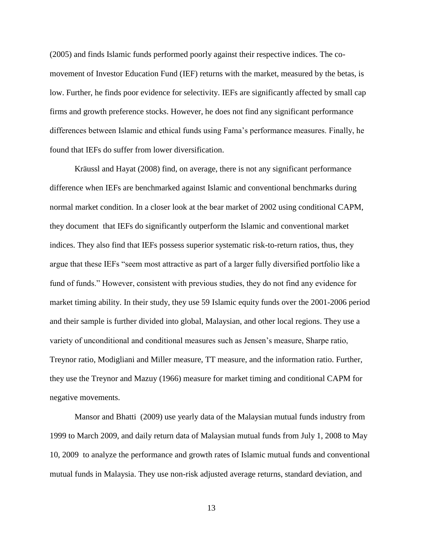(2005) and finds Islamic funds performed poorly against their respective indices. The comovement of Investor Education Fund (IEF) returns with the market, measured by the betas, is low. Further, he finds poor evidence for selectivity. IEFs are significantly affected by small cap firms and growth preference stocks. However, he does not find any significant performance differences between Islamic and ethical funds using Fama's performance measures. Finally, he found that IEFs do suffer from lower diversification.

Kräussl and Hayat (2008) find, on average, there is not any significant performance difference when IEFs are benchmarked against Islamic and conventional benchmarks during normal market condition. In a closer look at the bear market of 2002 using conditional CAPM, they document that IEFs do significantly outperform the Islamic and conventional market indices. They also find that IEFs possess superior systematic risk-to-return ratios, thus, they argue that these IEFs "seem most attractive as part of a larger fully diversified portfolio like a fund of funds." However, consistent with previous studies, they do not find any evidence for market timing ability. In their study, they use 59 Islamic equity funds over the 2001-2006 period and their sample is further divided into global, Malaysian, and other local regions. They use a variety of unconditional and conditional measures such as Jensen's measure, Sharpe ratio, Treynor ratio, Modigliani and Miller measure, TT measure, and the information ratio. Further, they use the Treynor and Mazuy (1966) measure for market timing and conditional CAPM for negative movements.

Mansor and Bhatti (2009) use yearly data of the Malaysian mutual funds industry from 1999 to March 2009, and daily return data of Malaysian mutual funds from July 1, 2008 to May 10, 2009 to analyze the performance and growth rates of Islamic mutual funds and conventional mutual funds in Malaysia. They use non-risk adjusted average returns, standard deviation, and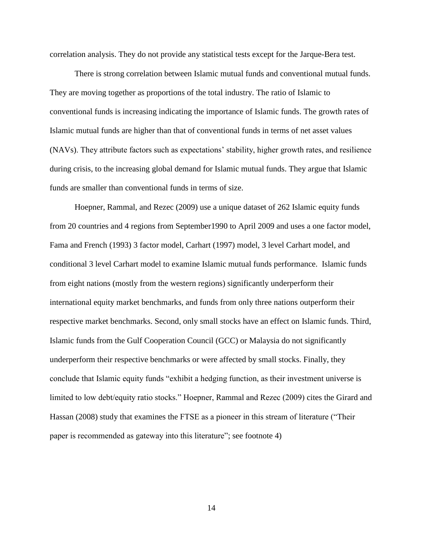correlation analysis. They do not provide any statistical tests except for the Jarque-Bera test.

There is strong correlation between Islamic mutual funds and conventional mutual funds. They are moving together as proportions of the total industry. The ratio of Islamic to conventional funds is increasing indicating the importance of Islamic funds. The growth rates of Islamic mutual funds are higher than that of conventional funds in terms of net asset values (NAVs). They attribute factors such as expectations' stability, higher growth rates, and resilience during crisis, to the increasing global demand for Islamic mutual funds. They argue that Islamic funds are smaller than conventional funds in terms of size.

Hoepner, Rammal, and Rezec (2009) use a unique dataset of 262 Islamic equity funds from 20 countries and 4 regions from September1990 to April 2009 and uses a one factor model, Fama and French (1993) 3 factor model, Carhart (1997) model, 3 level Carhart model, and conditional 3 level Carhart model to examine Islamic mutual funds performance. Islamic funds from eight nations (mostly from the western regions) significantly underperform their international equity market benchmarks, and funds from only three nations outperform their respective market benchmarks. Second, only small stocks have an effect on Islamic funds. Third, Islamic funds from the Gulf Cooperation Council (GCC) or Malaysia do not significantly underperform their respective benchmarks or were affected by small stocks. Finally, they conclude that Islamic equity funds "exhibit a hedging function, as their investment universe is limited to low debt/equity ratio stocks." Hoepner, Rammal and Rezec (2009) cites the Girard and Hassan (2008) study that examines the FTSE as a pioneer in this stream of literature ("Their paper is recommended as gateway into this literature"; see footnote 4)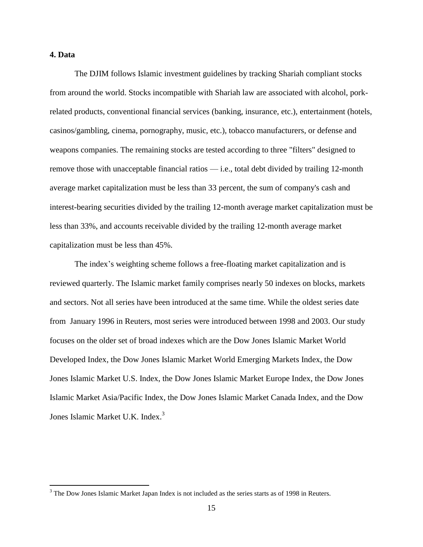#### **4. Data**

 $\overline{a}$ 

The DJIM follows Islamic investment guidelines by tracking Shariah compliant stocks from around the world. Stocks incompatible with Shariah law are associated with alcohol, porkrelated products, conventional financial services (banking, insurance, etc.), entertainment (hotels, casinos/gambling, cinema, pornography, music, etc.), tobacco manufacturers, or defense and weapons companies. The remaining stocks are tested according to three "filters" designed to remove those with unacceptable financial ratios — i.e., total debt divided by trailing 12-month average market capitalization must be less than 33 percent, the sum of company's cash and interest-bearing securities divided by the trailing 12-month average market capitalization must be less than 33%, and accounts receivable divided by the trailing 12-month average market capitalization must be less than 45%.

The index's weighting scheme follows a free-floating market capitalization and is reviewed quarterly. The Islamic market family comprises nearly 50 indexes on blocks, markets and sectors. Not all series have been introduced at the same time. While the oldest series date from January 1996 in Reuters, most series were introduced between 1998 and 2003. Our study focuses on the older set of broad indexes which are the Dow Jones Islamic Market World Developed Index, the Dow Jones Islamic Market World Emerging Markets Index, the Dow Jones Islamic Market U.S. Index, the Dow Jones Islamic Market Europe Index, the Dow Jones Islamic Market Asia/Pacific Index, the Dow Jones Islamic Market Canada Index, and the Dow Jones Islamic Market U.K. Index.<sup>3</sup>

<sup>&</sup>lt;sup>3</sup> The Dow Jones Islamic Market Japan Index is not included as the series starts as of 1998 in Reuters.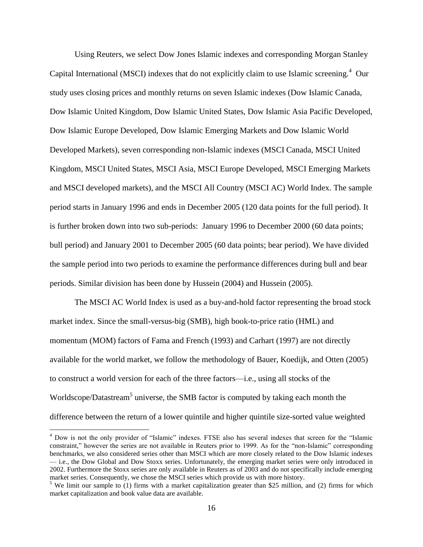Using Reuters, we select Dow Jones Islamic indexes and corresponding Morgan Stanley Capital International (MSCI) indexes that do not explicitly claim to use Islamic screening.<sup>4</sup> Our study uses closing prices and monthly returns on seven Islamic indexes (Dow Islamic Canada, Dow Islamic United Kingdom, Dow Islamic United States, Dow Islamic Asia Pacific Developed, Dow Islamic Europe Developed, Dow Islamic Emerging Markets and Dow Islamic World Developed Markets), seven corresponding non-Islamic indexes (MSCI Canada, MSCI United Kingdom, MSCI United States, MSCI Asia, MSCI Europe Developed, MSCI Emerging Markets and MSCI developed markets), and the MSCI All Country (MSCI AC) World Index. The sample period starts in January 1996 and ends in December 2005 (120 data points for the full period). It is further broken down into two sub-periods: January 1996 to December 2000 (60 data points; bull period) and January 2001 to December 2005 (60 data points; bear period). We have divided the sample period into two periods to examine the performance differences during bull and bear periods. Similar division has been done by Hussein (2004) and Hussein (2005).

The MSCI AC World Index is used as a buy-and-hold factor representing the broad stock market index. Since the small-versus-big (SMB), high book-to-price ratio (HML) and momentum (MOM) factors of Fama and French (1993) and Carhart (1997) are not directly available for the world market, we follow the methodology of Bauer, Koedijk, and Otten (2005) to construct a world version for each of the three factors—i.e., using all stocks of the Worldscope/Datastream<sup>5</sup> universe, the SMB factor is computed by taking each month the difference between the return of a lower quintile and higher quintile size-sorted value weighted

 $\overline{a}$ 

<sup>&</sup>lt;sup>4</sup> Dow is not the only provider of "Islamic" indexes. FTSE also has several indexes that screen for the "Islamic constraint," however the series are not available in Reuters prior to 1999. As for the "non-Islamic" corresponding benchmarks, we also considered series other than MSCI which are more closely related to the Dow Islamic indexes — i.e., the Dow Global and Dow Stoxx series. Unfortunately, the emerging market series were only introduced in 2002. Furthermore the Stoxx series are only available in Reuters as of 2003 and do not specifically include emerging market series. Consequently, we chose the MSCI series which provide us with more history.

<sup>&</sup>lt;sup>5</sup> We limit our sample to (1) firms with a market capitalization greater than \$25 million, and (2) firms for which market capitalization and book value data are available.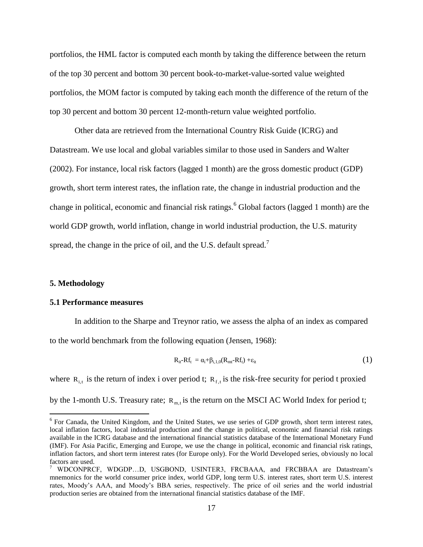portfolios, the HML factor is computed each month by taking the difference between the return of the top 30 percent and bottom 30 percent book-to-market-value-sorted value weighted portfolios, the MOM factor is computed by taking each month the difference of the return of the top 30 percent and bottom 30 percent 12-month-return value weighted portfolio.

Other data are retrieved from the International Country Risk Guide (ICRG) and Datastream. We use local and global variables similar to those used in Sanders and Walter (2002). For instance, local risk factors (lagged 1 month) are the gross domestic product (GDP) growth, short term interest rates, the inflation rate, the change in industrial production and the change in political, economic and financial risk ratings.<sup>6</sup> Global factors (lagged 1 month) are the world GDP growth, world inflation, change in world industrial production, the U.S. maturity spread, the change in the price of oil, and the U.S. default spread.<sup>7</sup>

#### **5. Methodology**

 $\overline{a}$ 

#### **5.1 Performance measures**

In addition to the Sharpe and Treynor ratio, we assess the alpha of an index as compared to the world benchmark from the following equation (Jensen, 1968):

$$
R_{it} - Rf_t = \alpha_i + \beta_{i,1,0}(R_{mt} - Rf_t) + \varepsilon_{it}
$$
\n(1)

where  $R_{i,t}$  is the return of index i over period t;  $R_{f,t}$  is the risk-free security for period t proxied

by the 1-month U.S. Treasury rate;  $R_{m,t}$  is the return on the MSCI AC World Index for period t;

<sup>&</sup>lt;sup>6</sup> For Canada, the United Kingdom, and the United States, we use series of GDP growth, short term interest rates, local inflation factors, local industrial production and the change in political, economic and financial risk ratings available in the ICRG database and the international financial statistics database of the International Monetary Fund (IMF). For Asia Pacific, Emerging and Europe, we use the change in political, economic and financial risk ratings, inflation factors, and short term interest rates (for Europe only). For the World Developed series, obviously no local factors are used.

<sup>7</sup> WDCONPRCF, WDGDP…D, USGBOND, USINTER3, FRCBAAA, and FRCBBAA are Datastream's mnemonics for the world consumer price index, world GDP, long term U.S. interest rates, short term U.S. interest rates, Moody's AAA, and Moody's BBA series, respectively. The price of oil series and the world industrial production series are obtained from the international financial statistics database of the IMF.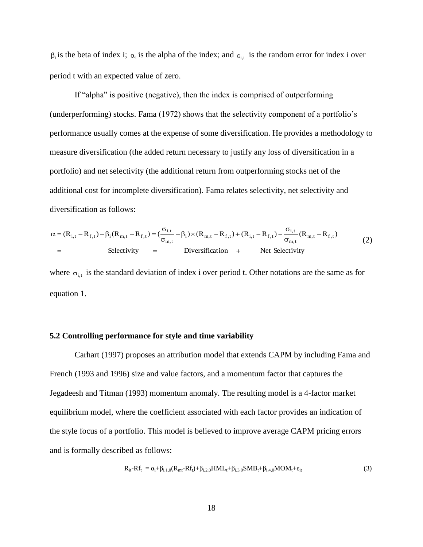is the beta of index i;  $\alpha_i$  is the alpha of the index; and  $\varepsilon_{i,t}$  is the random error for index i over period t with an expected value of zero.

If "alpha" is positive (negative), then the index is comprised of outperforming (underperforming) stocks. Fama (1972) shows that the selectivity component of a portfolio's performance usually comes at the expense of some diversification. He provides a methodology to measure diversification (the added return necessary to justify any loss of diversification in a portfolio) and net selectivity (the additional return from outperforming stocks net of the additional cost for incomplete diversification). Fama relates selectivity, net selectivity and diversification as follows:

$$
\alpha = (R_{i,t} - R_{f,t}) - \beta_i (R_{m,t} - R_{f,t}) = \left(\frac{\sigma_{i,t}}{\sigma_{m,t}} - \beta_i\right) \times (R_{m,t} - R_{f,t}) + (R_{i,t} - R_{f,t}) - \frac{\sigma_{i,t}}{\sigma_{m,t}} (R_{m,t} - R_{f,t})
$$
\n
$$
= \text{Selectivity} \qquad = \text{Diversification} + \text{Net Selectivity}
$$
\n(2)

where  $\sigma_{i,t}$  is the standard deviation of index i over period t. Other notations are the same as for equation 1.

#### **5.2 Controlling performance for style and time variability**

Carhart (1997) proposes an attribution model that extends CAPM by including Fama and French (1993 and 1996) size and value factors, and a momentum factor that captures the Jegadeesh and Titman (1993) momentum anomaly. The resulting model is a 4-factor market equilibrium model, where the coefficient associated with each factor provides an indication of the style focus of a portfolio. This model is believed to improve average CAPM pricing errors and is formally described as follows:

$$
R_{it} - Rf_t = \alpha_i + \beta_{i,1,0}(R_{mt} - Rf_t) + \beta_{i,2,0}HML_t + \beta_{i,3,0}SMB_t + \beta_{i,4,0}MOM_t + \epsilon_{it}
$$
 (3)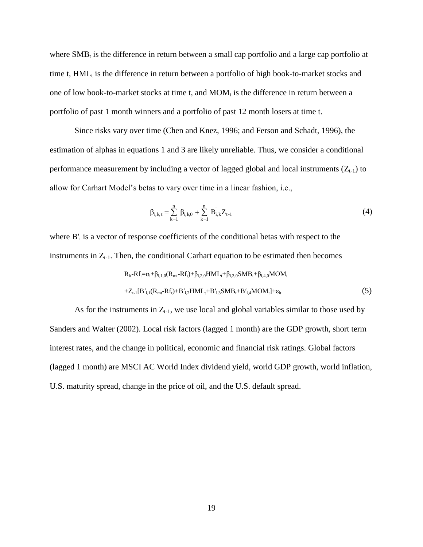where  $SMB<sub>t</sub>$  is the difference in return between a small cap portfolio and a large cap portfolio at time t,  $HML<sub>t</sub>$  is the difference in return between a portfolio of high book-to-market stocks and one of low book-to-market stocks at time t, and  $MOM<sub>t</sub>$  is the difference in return between a portfolio of past 1 month winners and a portfolio of past 12 month losers at time t.

Since risks vary over time (Chen and Knez, 1996; and Ferson and Schadt, 1996), the estimation of alphas in equations 1 and 3 are likely unreliable. Thus, we consider a conditional performance measurement by including a vector of lagged global and local instruments  $(Z_{t-1})$  to allow for Carhart Model's betas to vary over time in a linear fashion, i.e.,

$$
\beta_{i,k,t} = \sum_{k=1}^{n} \beta_{i,k,0} + \sum_{k=1}^{n} B_{i,k} Z_{t-1}
$$
 (4)

where  $B_i$  is a vector of response coefficients of the conditional betas with respect to the instruments in  $Z_{t-1}$ . Then, the conditional Carhart equation to be estimated then becomes

$$
R_{it} - Rf_t = \alpha_i + \beta_{i,1,0}(R_{mt} - Rf_t) + \beta_{i,2,0}HML_t + \beta_{i,3,0}SMB_t + \beta_{i,4,0}MOM_t
$$
  
+Z\_{t-1}[B'<sub>i,1</sub>(R<sub>mt</sub>-Rf\_t)+B'<sub>i,2</sub>HML<sub>t</sub>+B'<sub>i,3</sub>SMB<sub>t</sub>+B'<sub>i,4</sub>MOM<sub>t</sub>] + \varepsilon\_{it} (5)

As for the instruments in  $Z_{t-1}$ , we use local and global variables similar to those used by Sanders and Walter (2002). Local risk factors (lagged 1 month) are the GDP growth, short term interest rates, and the change in political, economic and financial risk ratings. Global factors (lagged 1 month) are MSCI AC World Index dividend yield, world GDP growth, world inflation, U.S. maturity spread, change in the price of oil, and the U.S. default spread.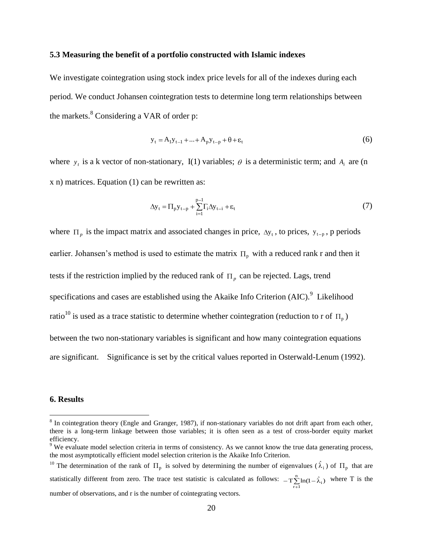#### **5.3 Measuring the benefit of a portfolio constructed with Islamic indexes**

We investigate cointegration using stock index price levels for all of the indexes during each period. We conduct Johansen cointegration tests to determine long term relationships between the markets.<sup>8</sup> Considering a VAR of order p:

$$
y_{t} = A_{1}y_{t-1} + ... + A_{p}y_{t-p} + \theta + \varepsilon_{t}
$$
 (6)

where  $y_t$  is a k vector of non-stationary, I(1) variables;  $\theta$  is a deterministic term; and  $A_t$  are (n x n) matrices. Equation (1) can be rewritten as:

$$
\Delta y_t = \Pi_p y_{t-p} + \sum_{i=1}^{p-1} \Gamma_i \Delta y_{t-i} + \varepsilon_t
$$
\n(7)

where  $\Pi_p$  is the impact matrix and associated changes in price,  $\Delta y_t$ , to prices,  $y_{t-p}$ , p periods earlier. Johansen's method is used to estimate the matrix  $\Pi_{p}$  with a reduced rank r and then it tests if the restriction implied by the reduced rank of  $\Pi_p$  can be rejected. Lags, trend specifications and cases are established using the Akaike Info Criterion  $(AIC)^{9}$ . Likelihood ratio<sup>10</sup> is used as a trace statistic to determine whether cointegration (reduction to r of  $\Pi_{\rm p}$ ) between the two non-stationary variables is significant and how many cointegration equations are significant. Significance is set by the critical values reported in Osterwald-Lenum (1992).

### **6. Results**

 $\overline{a}$ 

<sup>10</sup> The determination of the rank of  $\Pi_p$  is solved by determining the number of eigenvalues  $(\hat{\lambda}_i)$  of  $\Pi_p$  that are statistically different from zero. The trace test statistic is calculated as follows:  $-T\sum_{i=1}^{n} \ln(1-\hat{\lambda}_{i})$  $\sum_{r=1}^{n} \ln(1-\hat{\lambda}_i)$  where T is the number of observations, and r is the number of cointegrating vectors.

 $8$  In cointegration theory (Engle and Granger, 1987), if non-stationary variables do not drift apart from each other, there is a long-term linkage between those variables; it is often seen as a test of cross-border equity market efficiency.

<sup>&</sup>lt;sup>9</sup> We evaluate model selection criteria in terms of consistency. As we cannot know the true data generating process, the most asymptotically efficient model selection criterion is the Akaike Info Criterion.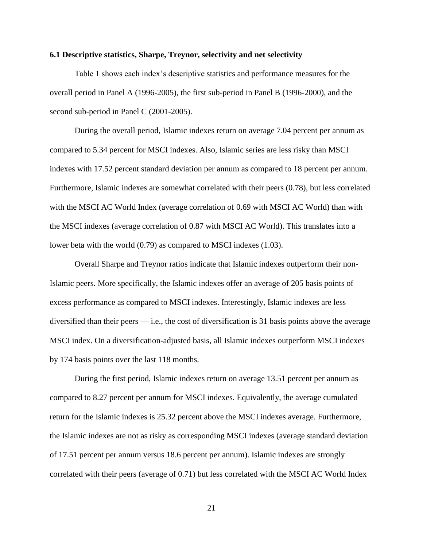#### **6.1 Descriptive statistics, Sharpe, Treynor, selectivity and net selectivity**

Table 1 shows each index's descriptive statistics and performance measures for the overall period in Panel A (1996-2005), the first sub-period in Panel B (1996-2000), and the second sub-period in Panel C (2001-2005).

During the overall period, Islamic indexes return on average 7.04 percent per annum as compared to 5.34 percent for MSCI indexes. Also, Islamic series are less risky than MSCI indexes with 17.52 percent standard deviation per annum as compared to 18 percent per annum. Furthermore, Islamic indexes are somewhat correlated with their peers (0.78), but less correlated with the MSCI AC World Index (average correlation of 0.69 with MSCI AC World) than with the MSCI indexes (average correlation of 0.87 with MSCI AC World). This translates into a lower beta with the world (0.79) as compared to MSCI indexes (1.03).

Overall Sharpe and Treynor ratios indicate that Islamic indexes outperform their non-Islamic peers. More specifically, the Islamic indexes offer an average of 205 basis points of excess performance as compared to MSCI indexes. Interestingly, Islamic indexes are less diversified than their peers — i.e., the cost of diversification is 31 basis points above the average MSCI index. On a diversification-adjusted basis, all Islamic indexes outperform MSCI indexes by 174 basis points over the last 118 months.

During the first period, Islamic indexes return on average 13.51 percent per annum as compared to 8.27 percent per annum for MSCI indexes. Equivalently, the average cumulated return for the Islamic indexes is 25.32 percent above the MSCI indexes average. Furthermore, the Islamic indexes are not as risky as corresponding MSCI indexes (average standard deviation of 17.51 percent per annum versus 18.6 percent per annum). Islamic indexes are strongly correlated with their peers (average of 0.71) but less correlated with the MSCI AC World Index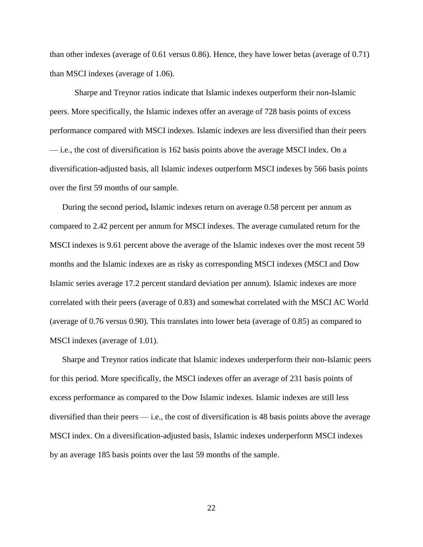than other indexes (average of 0.61 versus 0.86). Hence, they have lower betas (average of 0.71) than MSCI indexes (average of 1.06).

Sharpe and Treynor ratios indicate that Islamic indexes outperform their non-Islamic peers. More specifically, the Islamic indexes offer an average of 728 basis points of excess performance compared with MSCI indexes. Islamic indexes are less diversified than their peers — i.e., the cost of diversification is 162 basis points above the average MSCI index. On a diversification-adjusted basis, all Islamic indexes outperform MSCI indexes by 566 basis points over the first 59 months of our sample.

During the second period**,** Islamic indexes return on average 0.58 percent per annum as compared to 2.42 percent per annum for MSCI indexes. The average cumulated return for the MSCI indexes is 9.61 percent above the average of the Islamic indexes over the most recent 59 months and the Islamic indexes are as risky as corresponding MSCI indexes (MSCI and Dow Islamic series average 17.2 percent standard deviation per annum). Islamic indexes are more correlated with their peers (average of 0.83) and somewhat correlated with the MSCI AC World (average of 0.76 versus 0.90). This translates into lower beta (average of 0.85) as compared to MSCI indexes (average of 1.01).

Sharpe and Treynor ratios indicate that Islamic indexes underperform their non-Islamic peers for this period. More specifically, the MSCI indexes offer an average of 231 basis points of excess performance as compared to the Dow Islamic indexes. Islamic indexes are still less diversified than their peers — i.e., the cost of diversification is 48 basis points above the average MSCI index. On a diversification-adjusted basis, Islamic indexes underperform MSCI indexes by an average 185 basis points over the last 59 months of the sample.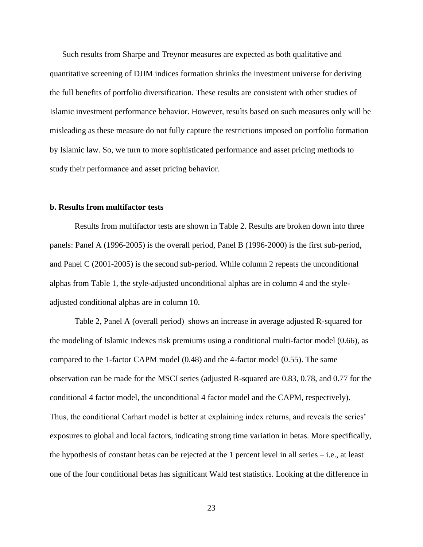Such results from Sharpe and Treynor measures are expected as both qualitative and quantitative screening of DJIM indices formation shrinks the investment universe for deriving the full benefits of portfolio diversification. These results are consistent with other studies of Islamic investment performance behavior. However, results based on such measures only will be misleading as these measure do not fully capture the restrictions imposed on portfolio formation by Islamic law. So, we turn to more sophisticated performance and asset pricing methods to study their performance and asset pricing behavior.

#### **b. Results from multifactor tests**

Results from multifactor tests are shown in Table 2. Results are broken down into three panels: Panel A (1996-2005) is the overall period, Panel B (1996-2000) is the first sub-period, and Panel C (2001-2005) is the second sub-period. While column 2 repeats the unconditional alphas from Table 1, the style-adjusted unconditional alphas are in column 4 and the styleadjusted conditional alphas are in column 10.

Table 2, Panel A (overall period) shows an increase in average adjusted R-squared for the modeling of Islamic indexes risk premiums using a conditional multi-factor model (0.66), as compared to the 1-factor CAPM model (0.48) and the 4-factor model (0.55). The same observation can be made for the MSCI series (adjusted R-squared are 0.83, 0.78, and 0.77 for the conditional 4 factor model, the unconditional 4 factor model and the CAPM, respectively). Thus, the conditional Carhart model is better at explaining index returns, and reveals the series' exposures to global and local factors, indicating strong time variation in betas. More specifically, the hypothesis of constant betas can be rejected at the 1 percent level in all series – i.e., at least one of the four conditional betas has significant Wald test statistics. Looking at the difference in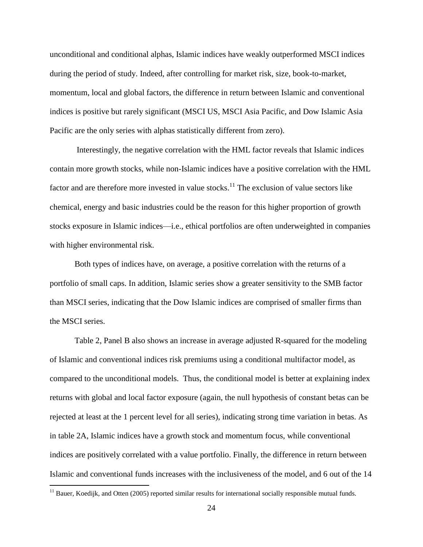unconditional and conditional alphas, Islamic indices have weakly outperformed MSCI indices during the period of study. Indeed, after controlling for market risk, size, book-to-market, momentum, local and global factors, the difference in return between Islamic and conventional indices is positive but rarely significant (MSCI US, MSCI Asia Pacific, and Dow Islamic Asia Pacific are the only series with alphas statistically different from zero).

Interestingly, the negative correlation with the HML factor reveals that Islamic indices contain more growth stocks, while non-Islamic indices have a positive correlation with the HML factor and are therefore more invested in value stocks.<sup>11</sup> The exclusion of value sectors like chemical, energy and basic industries could be the reason for this higher proportion of growth stocks exposure in Islamic indices—i.e., ethical portfolios are often underweighted in companies with higher environmental risk.

Both types of indices have, on average, a positive correlation with the returns of a portfolio of small caps. In addition, Islamic series show a greater sensitivity to the SMB factor than MSCI series, indicating that the Dow Islamic indices are comprised of smaller firms than the MSCI series.

Table 2, Panel B also shows an increase in average adjusted R-squared for the modeling of Islamic and conventional indices risk premiums using a conditional multifactor model, as compared to the unconditional models. Thus, the conditional model is better at explaining index returns with global and local factor exposure (again, the null hypothesis of constant betas can be rejected at least at the 1 percent level for all series), indicating strong time variation in betas. As in table 2A, Islamic indices have a growth stock and momentum focus, while conventional indices are positively correlated with a value portfolio. Finally, the difference in return between Islamic and conventional funds increases with the inclusiveness of the model, and 6 out of the 14

 $\overline{a}$ 

 $11$  Bauer, Koedijk, and Otten (2005) reported similar results for international socially responsible mutual funds.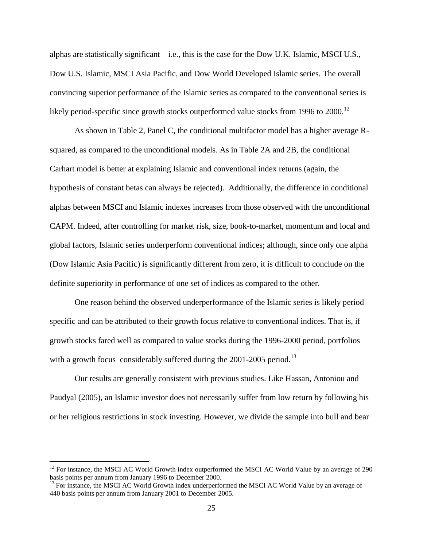alphas are statistically significant—i.e., this is the case for the Dow U.K. Islamic, MSCI U.S., Dow U.S. Islamic, MSCI Asia Pacific, and Dow World Developed Islamic series. The overall convincing superior performance of the Islamic series as compared to the conventional series is likely period-specific since growth stocks outperformed value stocks from 1996 to  $2000$ .<sup>12</sup>

As shown in Table 2, Panel C, the conditional multifactor model has a higher average Rsquared, as compared to the unconditional models. As in Table 2A and 2B, the conditional Carhart model is better at explaining Islamic and conventional index returns (again, the hypothesis of constant betas can always be rejected). Additionally, the difference in conditional alphas between MSCI and Islamic indexes increases from those observed with the unconditional CAPM. Indeed, after controlling for market risk, size, book-to-market, momentum and local and global factors, Islamic series underperform conventional indices; although, since only one alpha (Dow Islamic Asia Pacific) is significantly different from zero, it is difficult to conclude on the definite superiority in performance of one set of indices as compared to the other.

One reason behind the observed underperformance of the Islamic series is likely period specific and can be attributed to their growth focus relative to conventional indices. That is, if growth stocks fared well as compared to value stocks during the 1996-2000 period, portfolios with a growth focus considerably suffered during the  $2001-2005$  period.<sup>13</sup>

Our results are generally consistent with previous studies. Like Hassan, Antoniou and Paudyal (2005), an Islamic investor does not necessarily suffer from low return by following his or her religious restrictions in stock investing. However, we divide the sample into bull and bear

 $\overline{a}$ 

 $12$  For instance, the MSCI AC World Growth index outperformed the MSCI AC World Value by an average of 290 basis points per annum from January 1996 to December 2000.

<sup>&</sup>lt;sup>13</sup> For instance, the MSCI AC World Growth index underperformed the MSCI AC World Value by an average of 440 basis points per annum from January 2001 to December 2005.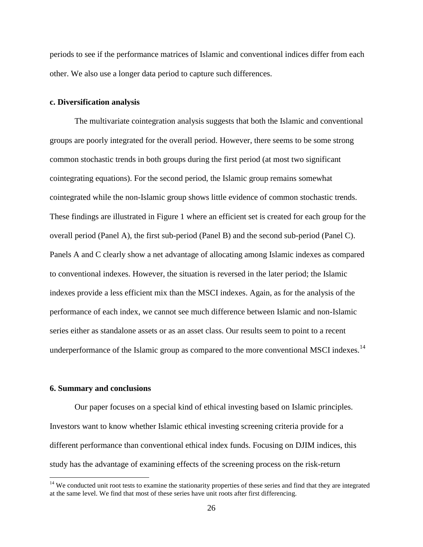periods to see if the performance matrices of Islamic and conventional indices differ from each other. We also use a longer data period to capture such differences.

#### **c. Diversification analysis**

The multivariate cointegration analysis suggests that both the Islamic and conventional groups are poorly integrated for the overall period. However, there seems to be some strong common stochastic trends in both groups during the first period (at most two significant cointegrating equations). For the second period, the Islamic group remains somewhat cointegrated while the non-Islamic group shows little evidence of common stochastic trends. These findings are illustrated in Figure 1 where an efficient set is created for each group for the overall period (Panel A), the first sub-period (Panel B) and the second sub-period (Panel C). Panels A and C clearly show a net advantage of allocating among Islamic indexes as compared to conventional indexes. However, the situation is reversed in the later period; the Islamic indexes provide a less efficient mix than the MSCI indexes. Again, as for the analysis of the performance of each index, we cannot see much difference between Islamic and non-Islamic series either as standalone assets or as an asset class. Our results seem to point to a recent underperformance of the Islamic group as compared to the more conventional MSCI indexes.<sup>14</sup>

#### **6. Summary and conclusions**

 $\overline{a}$ 

Our paper focuses on a special kind of ethical investing based on Islamic principles. Investors want to know whether Islamic ethical investing screening criteria provide for a different performance than conventional ethical index funds. Focusing on DJIM indices, this study has the advantage of examining effects of the screening process on the risk-return

<sup>&</sup>lt;sup>14</sup> We conducted unit root tests to examine the stationarity properties of these series and find that they are integrated at the same level. We find that most of these series have unit roots after first differencing.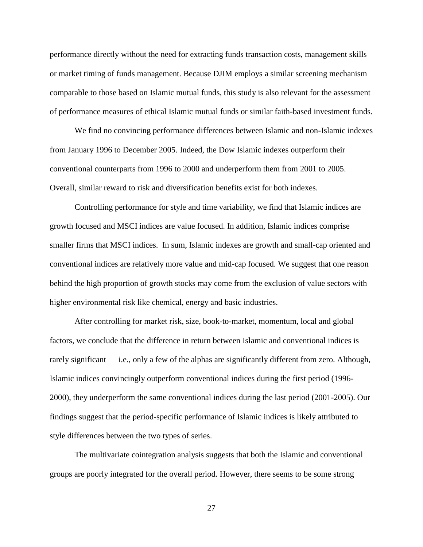performance directly without the need for extracting funds transaction costs, management skills or market timing of funds management. Because DJIM employs a similar screening mechanism comparable to those based on Islamic mutual funds, this study is also relevant for the assessment of performance measures of ethical Islamic mutual funds or similar faith-based investment funds.

We find no convincing performance differences between Islamic and non-Islamic indexes from January 1996 to December 2005. Indeed, the Dow Islamic indexes outperform their conventional counterparts from 1996 to 2000 and underperform them from 2001 to 2005. Overall, similar reward to risk and diversification benefits exist for both indexes.

Controlling performance for style and time variability, we find that Islamic indices are growth focused and MSCI indices are value focused. In addition, Islamic indices comprise smaller firms that MSCI indices. In sum, Islamic indexes are growth and small-cap oriented and conventional indices are relatively more value and mid-cap focused. We suggest that one reason behind the high proportion of growth stocks may come from the exclusion of value sectors with higher environmental risk like chemical, energy and basic industries.

After controlling for market risk, size, book-to-market, momentum, local and global factors, we conclude that the difference in return between Islamic and conventional indices is rarely significant — i.e., only a few of the alphas are significantly different from zero. Although, Islamic indices convincingly outperform conventional indices during the first period (1996- 2000), they underperform the same conventional indices during the last period (2001-2005). Our findings suggest that the period-specific performance of Islamic indices is likely attributed to style differences between the two types of series.

The multivariate cointegration analysis suggests that both the Islamic and conventional groups are poorly integrated for the overall period. However, there seems to be some strong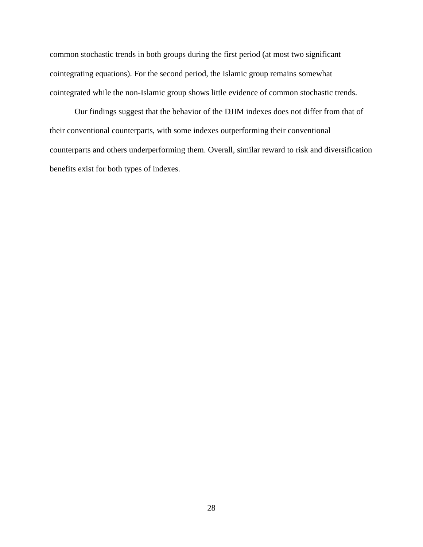common stochastic trends in both groups during the first period (at most two significant cointegrating equations). For the second period, the Islamic group remains somewhat cointegrated while the non-Islamic group shows little evidence of common stochastic trends.

Our findings suggest that the behavior of the DJIM indexes does not differ from that of their conventional counterparts, with some indexes outperforming their conventional counterparts and others underperforming them. Overall, similar reward to risk and diversification benefits exist for both types of indexes.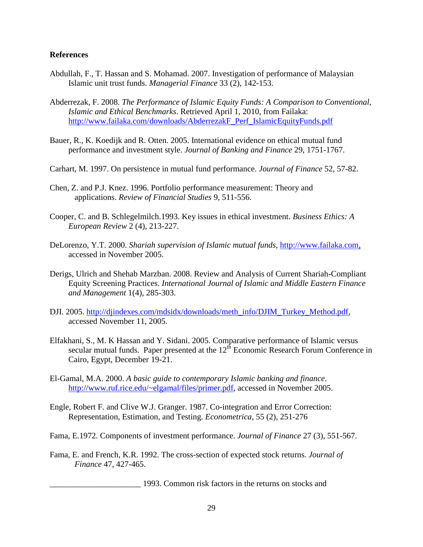### **References**

- Abdullah, F., T. Hassan and S. Mohamad. 2007. Investigation of performance of Malaysian Islamic unit trust funds. *Managerial Finance* 33 (2), 142-153.
- Abderrezak, F. 2008. *The Performance of Islamic Equity Funds: A Comparison to Conventional, Islamic and Ethical Benchmarks*. Retrieved April 1, 2010, from Failaka: [http://www.failaka.com/downloads/AbderrezakF\\_Perf\\_IslamicEquityFunds.pdf](http://www.failaka.com/downloads/AbderrezakF_Perf_IslamicEquityFunds.pdf)
- Bauer, R., K. Koedijk and R. Otten. 2005. International evidence on ethical mutual fund performance and investment style. *Journal of Banking and Finance* 29, 1751-1767.
- Carhart, M. 1997. On persistence in mutual fund performance. *Journal of Finance* 52, 57-82.
- Chen, Z. and P.J. Knez. 1996. Portfolio performance measurement: Theory and applications. *Review of Financial Studies* 9, 511-556.
- Cooper, C. and B. Schlegelmilch.1993. Key issues in ethical investment. *Business Ethics: A European Review* 2 (4), 213-227.
- DeLorenzo, Y.T. 2000. *Shariah supervision of Islamic mutual funds,* [http://www.failaka.com,](http://www.failaka.com/) accessed in November 2005.
- Derigs, Ulrich and Shehab Marzban. 2008. Review and Analysis of Current Shariah-Compliant Equity Screening Practices. *International Journal of Islamic and Middle Eastern Finance and Management* 1(4), 285-303.
- DJI. 2005. [http://djindexes.com/mdsidx/downloads/meth\\_info/DJIM\\_Turkey\\_Method.pdf,](http://djindexes.com/mdsidx/downloads/meth_info/DJIM_Turkey_Method.pdf) accessed November 11, 2005.
- Elfakhani, S., M. K Hassan and Y. Sidani. 2005. Comparative performance of Islamic versus secular mutual funds. Paper presented at the  $12<sup>th</sup>$  Economic Research Forum Conference in Cairo, Egypt, December 19-21.
- El-Gamal, M.A. 2000. *A basic guide to contemporary Islamic banking and finance*. [http://www.ruf.rice.edu/~elgamal/files/primer.pdf,](http://www.ruf.rice.edu/~elgamal/files/primer.pdf) accessed in November 2005.
- Engle, Robert F. and Clive W.J. Granger. 1987. Co-integration and Error Correction: Representation, Estimation, and Testing. *Econometrica*, 55 (2), 251-276
- Fama, E.1972. Components of investment performance. *Journal of Finance* 27 (3), 551-567.
- Fama, E. and French, K.R. 1992. The cross-section of expected stock returns. *Journal of Finance* 47, 427-465.

\_\_\_\_\_\_\_\_\_\_\_\_\_\_\_\_\_\_\_\_\_\_ 1993. Common risk factors in the returns on stocks and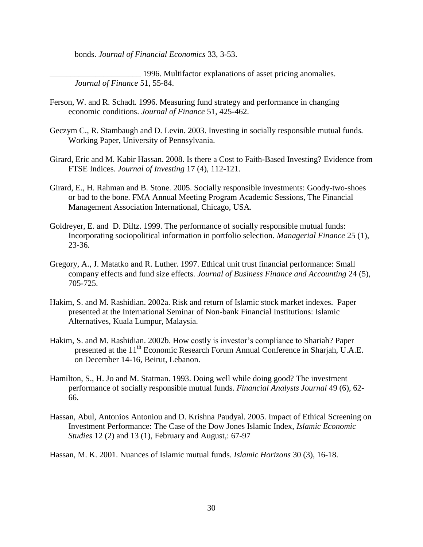bonds. *Journal of Financial Economics* 33, 3-53.

\_\_\_\_\_\_\_\_\_\_\_\_\_\_\_\_\_\_\_\_\_\_ 1996. Multifactor explanations of asset pricing anomalies. *Journal of Finance* 51, 55-84.

- Ferson, W. and R. Schadt. 1996. Measuring fund strategy and performance in changing economic conditions. *Journal of Finance* 51, 425-462.
- Geczym C., R. Stambaugh and D. Levin. 2003. Investing in socially responsible mutual fund*s.* Working Paper, University of Pennsylvania.
- Girard, Eric and M. Kabir Hassan. 2008. Is there a Cost to Faith-Based Investing? Evidence from FTSE Indices. *Journal of Investing* 17 (4), 112-121.
- Girard, E., H. Rahman and B. Stone. 2005. Socially responsible investments: Goody-two-shoes or bad to the bone. FMA Annual Meeting Program Academic Sessions, The Financial Management Association International, Chicago, USA.
- Goldreyer, E. and D. Diltz. 1999. The performance of socially responsible mutual funds: Incorporating sociopolitical information in portfolio selection. *Managerial Finance* 25 (1), 23-36.
- Gregory, A., J. Matatko and R. Luther. 1997. Ethical unit trust financial performance: Small company effects and fund size effects. *Journal of Business Finance and Accounting* 24 (5), 705-725.
- Hakim, S. and M. Rashidian. 2002a. Risk and return of Islamic stock market indexes. Paper presented at the International Seminar of Non-bank Financial Institutions: Islamic Alternatives, Kuala Lumpur, Malaysia.
- Hakim, S. and M. Rashidian. 2002b. How costly is investor's compliance to Shariah? Paper presented at the 11<sup>th</sup> Economic Research Forum Annual Conference in Sharjah, U.A.E. on December 14-16, Beirut, Lebanon.
- Hamilton, S., H. Jo and M. Statman. 1993. Doing well while doing good? The investment performance of socially responsible mutual funds. *Financial Analysts Journal* 49 (6), 62- 66.
- Hassan, Abul, Antonios Antoniou and D. Krishna Paudyal. 2005. Impact of Ethical Screening on Investment Performance: The Case of the Dow Jones Islamic Index, *Islamic Economic Studies* 12 (2) and 13 (1), February and August,: 67-97

Hassan, M. K. 2001. Nuances of Islamic mutual funds. *Islamic Horizons* 30 (3), 16-18.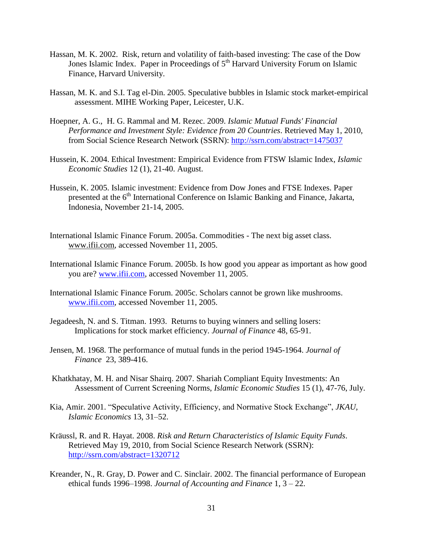- Hassan, M. K. 2002. Risk, return and volatility of faith-based investing: The case of the Dow Jones Islamic Index. Paper in Proceedings of 5<sup>th</sup> Harvard University Forum on Islamic Finance, Harvard University.
- Hassan, M. K. and S.I. Tag el-Din. 2005. Speculative bubbles in Islamic stock market-empirical assessment. MIHE Working Paper, Leicester, U.K.
- Hoepner, A. G., H. G. Rammal and M. Rezec. 2009. *Islamic Mutual Funds' Financial Performance and Investment Style: Evidence from 20 Countries*. Retrieved May 1, 2010, from Social Science Research Network (SSRN):<http://ssrn.com/abstract=1475037>
- Hussein, K. 2004. Ethical Investment: Empirical Evidence from FTSW Islamic Index, *Islamic Economic Studies* 12 (1), 21-40. August.
- Hussein, K. 2005. Islamic investment: Evidence from Dow Jones and FTSE Indexes. Paper presented at the 6<sup>th</sup> International Conference on Islamic Banking and Finance, Jakarta, Indonesia, November 21-14, 2005.
- International Islamic Finance Forum. 2005a. Commodities The next big asset class. [www.ifii.com,](http://www.ifii.com/) accessed November 11, 2005.
- International Islamic Finance Forum. 2005b. Is how good you appear as important as how good you are? [www.ifii.com,](http://www.ifii.com/) accessed November 11, 2005.
- International Islamic Finance Forum. 2005c. Scholars cannot be grown like mushrooms. [www.ifii.com,](http://www.ifii.com/) accessed November 11, 2005.
- Jegadeesh, N. and S. Titman. 1993. Returns to buying winners and selling losers: Implications for stock market efficiency. *Journal of Finance* 48, 65-91.
- Jensen, M. 1968. The performance of mutual funds in the period 1945-1964. *Journal of Finance* 23, 389-416.
- Khatkhatay, M. H. and Nisar Shairq. 2007. Shariah Compliant Equity Investments: An Assessment of Current Screening Norms, *Islamic Economic Studies* 15 (1), 47-76, July.
- Kia, Amir. 2001. "Speculative Activity, Efficiency, and Normative Stock Exchange", *JKAU*, *Islamic Economics* 13, 31–52.
- Kräussl, R. and R. Hayat. 2008. *Risk and Return Characteristics of Islamic Equity Funds*. Retrieved May 19, 2010, from Social Science Research Network (SSRN): <http://ssrn.com/abstract=1320712>
- Kreander, N., R. Gray, D. Power and C. Sinclair. 2002. The financial performance of European ethical funds 1996–1998. *Journal of Accounting and Finance* 1, 3 – 22.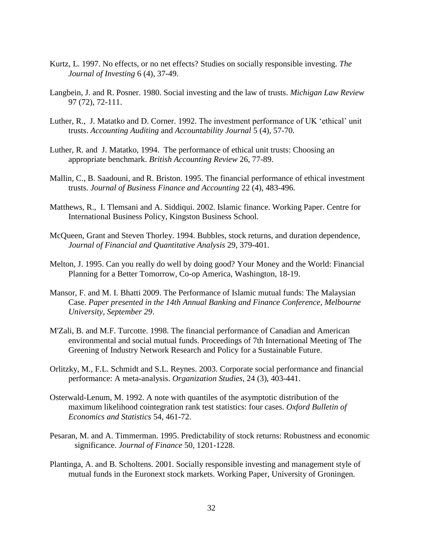- Kurtz, L. 1997. No effects, or no net effects? Studies on socially responsible investing. *The Journal of Investing* 6 (4), 37-49.
- Langbein, J. and R. Posner. 1980. Social investing and the law of trusts. *Michigan Law Review* 97 (72), 72-111.
- Luther, R., J. Matatko and D. Corner. 1992. The investment performance of UK 'ethical' unit trusts. *Accounting Auditing* and *Accountability Journal* 5 (4), 57-70.
- Luther, R. and J. Matatko, 1994. The performance of ethical unit trusts: Choosing an appropriate benchmark. *British Accounting Review* 26, 77-89.
- Mallin, C., B. Saadouni, and R. Briston. 1995. The financial performance of ethical investment trusts. *Journal of Business Finance and Accounting* 22 (4), 483-496.
- Matthews, R., I. Tlemsani and A. Siddiqui. 2002. Islamic finance. Working Paper. Centre for International Business Policy, Kingston Business School.
- McQueen, Grant and Steven Thorley. 1994. Bubbles, stock returns, and duration dependence, *Journal of Financial and Quantitative Analysis* 29, 379-401.
- Melton, J. 1995. Can you really do well by doing good? Your Money and the World: Financial Planning for a Better Tomorrow, Co-op America, Washington, 18-19.
- Mansor, F. and M. I. Bhatti 2009. The Performance of Islamic mutual funds: The Malaysian Case. *Paper presented in the 14th Annual Banking and Finance Conference, Melbourne University, September 29*.
- M'Zali, B. and M.F. Turcotte. 1998. The financial performance of Canadian and American environmental and social mutual funds. Proceedings of 7th International Meeting of The Greening of Industry Network Research and Policy for a Sustainable Future.
- Orlitzky, M., F.L. Schmidt and S.L. Reynes. 2003. Corporate social performance and financial performance: A meta-analysis. *Organization Studies*, 24 (3), 403-441.
- Osterwald-Lenum, M. 1992. A note with quantiles of the asymptotic distribution of the maximum likelihood cointegration rank test statistics: four cases. *Oxford Bulletin of Economics and Statistics* 54, 461-72.
- Pesaran, M. and A. Timmerman. 1995. Predictability of stock returns: Robustness and economic significance. *Journal of Finance* 50, 1201-1228.
- Plantinga, A. and B. Scholtens. 2001. Socially responsible investing and management style of mutual funds in the Euronext stock markets. Working Paper, University of Groningen.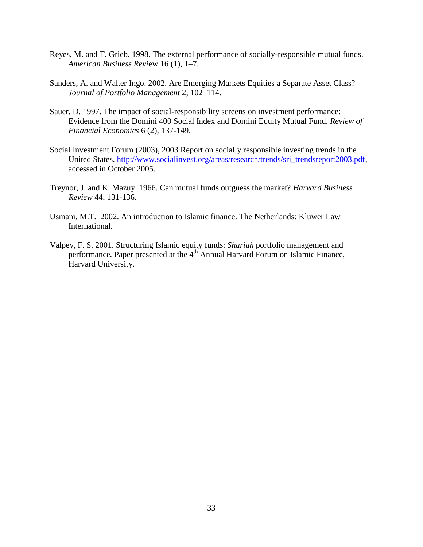- Reyes, M. and T. Grieb. 1998. The external performance of socially-responsible mutual funds. *American Business Revi*ew 16 (1), 1–7.
- Sanders, A. and Walter Ingo. 2002. Are Emerging Markets Equities a Separate Asset Class? *Journal of Portfolio Management* 2, 102–114.
- Sauer, D. 1997. The impact of social-responsibility screens on investment performance: Evidence from the Domini 400 Social Index and Domini Equity Mutual Fund. *Review of Financial Economics* 6 (2), 137-149.
- Social Investment Forum (2003), 2003 Report on socially responsible investing trends in the United States. [http://www.socialinvest.org/areas/research/trends/sri\\_trendsreport2003.pdf,](http://www.socialinvest.org/areas/research/trends/sri_trends_report2003.pdf) accessed in October 2005.
- Treynor, J. and K. Mazuy. 1966. Can mutual funds outguess the market? *Harvard Business Review* 44, 131-136.
- Usmani, M.T. 2002. An introduction to Islamic finance. The Netherlands: Kluwer Law International.
- Valpey, F. S. 2001. Structuring Islamic equity funds: *Shariah* portfolio management and performance. Paper presented at the 4<sup>th</sup> Annual Harvard Forum on Islamic Finance, Harvard University.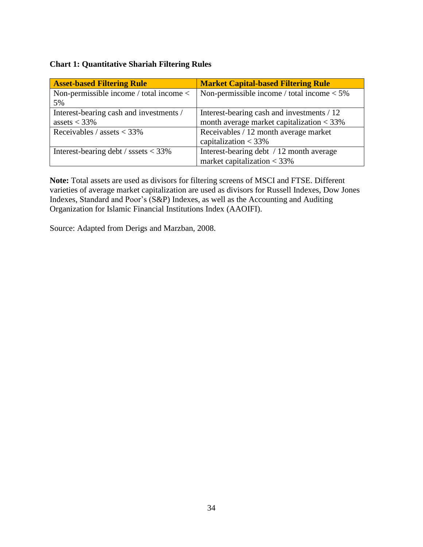## **Chart 1: Quantitative Shariah Filtering Rules**

| <b>Asset-based Filtering Rule</b>       | <b>Market Capital-based Filtering Rule</b>    |
|-----------------------------------------|-----------------------------------------------|
| Non-permissible income / total income < | Non-permissible income / total income $< 5\%$ |
| 5%                                      |                                               |
| Interest-bearing cash and investments / | Interest-bearing cash and investments / 12    |
| assets $<$ 33%                          | month average market capitalization $<$ 33%   |
| Receivables / assets $<$ 33%            | Receivables / 12 month average market         |
|                                         | capitalization $<$ 33%                        |
| Interest-bearing debt / sssets $<$ 33%  | Interest-bearing debt / 12 month average      |
|                                         | market capitalization $<$ 33%                 |

**Note:** Total assets are used as divisors for filtering screens of MSCI and FTSE. Different varieties of average market capitalization are used as divisors for Russell Indexes, Dow Jones Indexes, Standard and Poor's (S&P) Indexes, as well as the Accounting and Auditing Organization for Islamic Financial Institutions Index (AAOIFI).

Source: Adapted from Derigs and Marzban, 2008.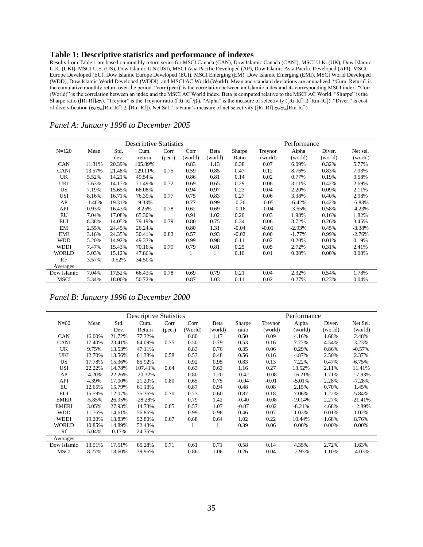#### **Table 1: Descriptive statistics and performance of indexes**

Results from Table 1 are based on monthly return series for MSCI Canada (CAN), Dow Islamic Canada (CANI), MSCI U.K. (UK), Dow Islamic U.K. (UKI), MSCI U.S. (US), Dow Islamic U.S (USI), MSCI Asia Pacific Developed (AP), Dow Islamic Asia Pacific Developed (API), MSCI Europe Developed (EU), Dow Islamic Europe Developed (EUI), MSCI Emerging (EM), Dow Islamic Emerging (EMI), MSCI World Developed (WDD), Dow Islamic World Developed (WDDI), and MSCI AC World (World). Mean and standard deviations are annualized. "Cum. Return" is the cumulative monthly return over the period. "corr (peer)"is the correlation between an Islamic index and its corresponding MSCI index. "Corr (World)" is the correlation between an index and the MSCI AC World index. Beta is computed relative to the MSCI AC World. "Sharpe" is the Sharpe ratio ([Ri-Rf]/ $\sigma$ <sub>i</sub>). "Treynor" is the Treynor ratio ([Ri-Rf]/ $\beta$ <sub>i</sub>). "Alpha" is the measure of selectivity ([Ri-Rf]- $\beta$ <sub>i</sub>[Rm-Rf]). "Diver." is cost of diversification ( $\sigma_i/\sigma_m$ [Rm-Rf]- $\beta_i$  [Rm-Rf]). Net Sel." is Fama's measure of net selectivity ([Ri-Rf]- $\sigma_i/\sigma_m$ [Rm-Rf]).

|              |          |        | <b>Descriptive Statistics</b> |        |         |         |         |         | Performance |         |          |
|--------------|----------|--------|-------------------------------|--------|---------|---------|---------|---------|-------------|---------|----------|
| $N = 120$    | Mean     | Std.   | Cum.                          | Corr   | Corr    | Beta    | Sharpe  | Treynor | Alpha       | Diver.  | Net sel. |
|              |          | dev.   | return                        | (peer) | (world) | (world) | Ratio   | (world) | (world)     | (world) | (world)  |
| CAN          | 11.31%   | 20.39% | 105.89%                       |        | 0.83    | 1.13    | 0.38    | 0.07    | 6.09%       | 0.32%   | 5.77%    |
| <b>CANI</b>  | 13.57%   | 21.48% | 129.11%                       | 0.75   | 0.59    | 0.85    | 0.47    | 0.12    | 8.76%       | 0.83%   | 7.93%    |
| <b>UK</b>    | 5.52%    | 14.21% | 49.54%                        |        | 0.86    | 0.81    | 0.14    | 0.02    | 0.77%       | 0.19%   | 0.58%    |
| UKI          | 7.63%    | 14.17% | 71.49%                        | 0.72   | 0.69    | 0.65    | 0.29    | 0.06    | 3.11%       | 0.42%   | 2.69%    |
| US.          | 7.19%    | 15.65% | 68.08%                        |        | 0.94    | 0.97    | 0.23    | 0.04    | 2.20%       | 0.09%   | 2.11%    |
| <b>USI</b>   | 8.16%    | 16.71% | 76.39%                        | 0.77   | 0.75    | 0.83    | 0.27    | 0.06    | 3.38%       | 0.40%   | 2.98%    |
| AP           | $-1.40%$ | 19.31% | $-9.33%$                      |        | 0.77    | 0.99    | $-0.26$ | $-0.05$ | $-6.42%$    | 0.42%   | $-6.83%$ |
| API          | 0.93%    | 16.43% | 8.25%                         | 0.78   | 0.62    | 0.69    | $-0.16$ | $-0.04$ | $-3.65%$    | 0.58%   | $-4.23%$ |
| EU           | 7.04%    | 17.08% | 65.30%                        |        | 0.91    | 1.02    | 0.20    | 0.03    | 1.98%       | 0.16%   | 1.82%    |
| <b>EUI</b>   | 8.38%    | 14.05% | 79.19%                        | 0.79   | 0.80    | 0.75    | 0.34    | 0.06    | 3.72%       | 0.26%   | 3.45%    |
| EM           | 2.55%    | 24.45% | 26.24%                        |        | 0.80    | 1.31    | $-0.04$ | $-0.01$ | $-2.93%$    | 0.45%   | $-3.38%$ |
| EMI          | 3.16%    | 24.35% | 30.41%                        | 0.83   | 0.57    | 0.93    | $-0.02$ | 0.00    | $-1.77%$    | 0.99%   | $-2.76%$ |
| <b>WDD</b>   | 5.20%    | 14.92% | 49.33%                        |        | 0.99    | 0.98    | 0.11    | 0.02    | 0.20%       | 0.01%   | 0.19%    |
| <b>WDDI</b>  | 7.47%    | 15.43% | 70.16%                        | 0.79   | 0.79    | 0.81    | 0.25    | 0.05    | 2.72%       | 0.31%   | 2.41%    |
| <b>WORLD</b> | 5.03%    | 15.12% | 47.86%                        |        |         | 1       | 0.10    | 0.01    | 0.00%       | 0.00%   | 0.00%    |
| RF           | 3.57%    | 0.52%  | 34.50%                        |        |         |         |         |         |             |         |          |
| Averages     |          |        |                               |        |         |         |         |         |             |         |          |
| Dow Islamic  | 7.04%    | 17.52% | 66.43%                        | 0.78   | 0.69    | 0.79    | 0.21    | 0.04    | 2.32%       | 0.54%   | 1.78%    |
| <b>MSCI</b>  | 5.34%    | 18.00% | 50.72%                        |        | 0.87    | 1.03    | 0.11    | 0.02    | 0.27%       | 0.23%   | 0.04%    |

*Panel A: January 1996 to December 2005*

*Panel B: January 1996 to December 2000*

|              |          |        | <b>Descriptive Statistics</b> |        |         |         |         |         | Performance |         |           |
|--------------|----------|--------|-------------------------------|--------|---------|---------|---------|---------|-------------|---------|-----------|
| $N = 60$     | Mean     | Std.   | Cum.                          | Corr   | Corr    | Beta    | Sharpe  | Treynor | Alpha       | Diver.  | Net Sel.  |
|              |          | Dev.   | Return                        | (peer) | (World) | (world) | ratio   | (world) | (world)     | (world) | (world)   |
| CAN          | 16.00%   | 21.72% | 77.32%                        |        | 0.80    | 1.17    | 0.50    | 0.09    | 4.16%       | 1.68%   | 2.48%     |
| <b>CANI</b>  | 17.40%   | 23.41% | 84.09%                        | 0.75   | 0.50    | 0.79    | 0.53    | 0.16    | 7.77%       | 4.54%   | 3.23%     |
| UK           | 9.75%    | 13.53% | 47.11%                        |        | 0.83    | 0.76    | 0.35    | 0.06    | 0.29%       | 0.86%   | $-0.57\%$ |
| UKI          | 12.70%   | 13.56% | 61.38%                        | 0.58   | 0.53    | 0.48    | 0.56    | 0.16    | 4.87%       | 2.50%   | 2.37%     |
| US           | 17.78%   | 15.36% | 85.92%                        |        | 0.92    | 0.95    | 0.83    | 0.13    | 7.22%       | 0.47%   | 6.75%     |
| <b>USI</b>   | 22.22%   | 14.78% | 107.41%                       | 0.64   | 0.63    | 0.63    | 1.16    | 0.27    | 13.52%      | 2.11%   | 11.41%    |
| AP           | $-4.20%$ | 22.26% | $-20.32%$                     |        | 0.80    | 1.20    | $-0.42$ | $-0.08$ | $-16.21%$   | 1.71%   | $-17.93%$ |
| API          | 4.39%    | 17.00% | 21.20%                        | 0.80   | 0.65    | 0.75    | $-0.04$ | $-0.01$ | $-5.01%$    | 2.28%   | $-7.28%$  |
| EU           | 12.65%   | 15.79% | 61.13%                        |        | 0.87    | 0.94    | 0.48    | 0.08    | 2.15%       | 0.70%   | 1.45%     |
| <b>EUI</b>   | 15.59%   | 12.07% | 75.36%                        | 0.70   | 0.73    | 0.60    | 0.87    | 0.18    | 7.06%       | 1.22%   | 5.84%     |
| <b>EMER</b>  | $-5.85%$ | 26.95% | $-28.28%$                     |        | 0.79    | 1.42    | $-0.40$ | $-0.08$ | $-19.14%$   | 2.27%   | $-21.41%$ |
| <b>EMERI</b> | 3.05%    | 27.93% | 14.73%                        | 0.85   | 0.57    | 1.07    | $-0.07$ | $-0.02$ | $-8.21%$    | 4.68%   | $-12.89%$ |
| <b>WDD</b>   | 11.76%   | 14.61% | 56.86%                        |        | 0.99    | 0.98    | 0.46    | 0.07    | 1.03%       | 0.01%   | 1.02%     |
| <b>WDDI</b>  | 19.20%   | 13.83% | 92.80%                        | 0.67   | 0.68    | 0.64    | 1.02    | 0.22    | 10.44%      | 1.68%   | 8.76%     |
| WORLD        | 10.85%   | 14.89% | 52.43%                        |        | 1       | 1       | 0.39    | 0.06    | 0.00%       | 0.00%   | 0.00%     |
| Rf           | 5.04%    | 0.17%  | 24.35%                        |        |         |         |         |         |             |         |           |
| Averages     |          |        |                               |        |         |         |         |         |             |         |           |
| Dow Islamic  | 13.51%   | 17.51% | 65.28%                        | 0.71   | 0.61    | 0.71    | 0.58    | 0.14    | 4.35%       | 2.72%   | 1.63%     |
| MSCI         | 8.27%    | 18.60% | 39.96%                        |        | 0.86    | 1.06    | 0.26    | 0.04    | $-2.93%$    | 1.10%   | $-4.03%$  |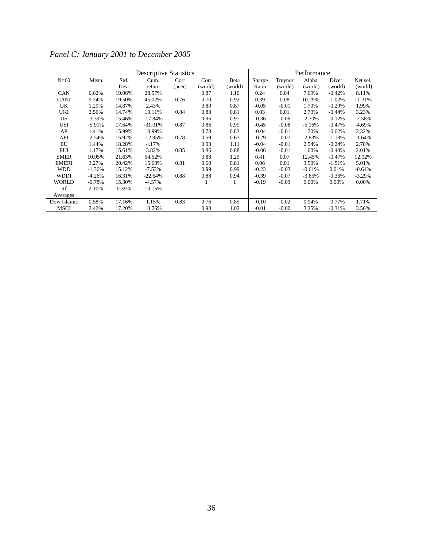*Panel C: January 2001 to December 2005*

|              |          |        | <b>Descriptive Statistics</b> |        |         |         |         |         | Performance |          |          |
|--------------|----------|--------|-------------------------------|--------|---------|---------|---------|---------|-------------|----------|----------|
| $N = 60$     | Mean     | Std.   | Cum.                          | Corr   | Corr    | Beta    | Sharpe  | Treynor | Alpha       | Diver.   | Net sel. |
|              |          | Dev.   | return                        | (peer) | (world) | (world) | Ratio   | (world) | (world)     | (world)  | (world)  |
| CAN          | 6.62%    | 19.06% | 28.57%                        |        | 0.87    | 1.10    | 0.24    | 0.04    | 7.69%       | $-0.42%$ | 8.11%    |
| <b>CANI</b>  | 9.74%    | 19.50% | 45.02%                        | 0.76   | 0.70    | 0.92    | 0.39    | 0.08    | 10.29%      | $-1.02%$ | 11.31%   |
| UK           | 1.29%    | 14.87% | 2.43%                         |        | 0.89    | 0.87    | $-0.05$ | $-0.01$ | 1.70%       | $-0.29%$ | 1.99%    |
| UKI          | 2.56%    | 14.74% | 10.11%                        | 0.84   | 0.83    | 0.81    | 0.03    | 0.01    | 2.79%       | $-0.44%$ | 3.23%    |
| US           | $-3.39%$ | 15.46% | $-17.84%$                     |        | 0.96    | 0.97    | $-0.36$ | $-0.06$ | $-2.70%$    | $-0.12%$ | $-2.58%$ |
| <b>USI</b>   | $-5.91%$ | 17.64% | $-31.01%$                     | 0.87   | 0.86    | 0.99    | $-0.45$ | $-0.08$ | $-5.16%$    | $-0.47%$ | $-4.69%$ |
| AP           | 1.41%    | 15.99% | 10.99%                        |        | 0.78    | 0.83    | $-0.04$ | $-0.01$ | 1.70%       | $-0.62%$ | 2.32%    |
| API          | $-2.54%$ | 15.92% | $-12.95%$                     | 0.78   | 0.59    | 0.63    | $-0.29$ | $-0.07$ | $-2.83%$    | $-1.18%$ | $-1.64%$ |
| EU           | 1.44%    | 18.28% | 4.17%                         |        | 0.93    | 1.11    | $-0.04$ | $-0.01$ | 2.54%       | $-0.24%$ | 2.78%    |
| <b>EUI</b>   | 1.17%    | 15.61% | 3.82%                         | 0.85   | 0.86    | 0.88    | $-0.06$ | $-0.01$ | 1.60%       | $-0.40%$ | 2.01%    |
| <b>EMER</b>  | 10.95%   | 21.63% | 54.52%                        |        | 0.88    | 1.25    | 0.41    | 0.07    | 12.45%      | $-0.47%$ | 12.92%   |
| <b>EMERI</b> | 3.27%    | 20.42% | 15.68%                        | 0.81   | 0.60    | 0.81    | 0.06    | 0.01    | 3.50%       | $-1.51%$ | 5.01%    |
| <b>WDD</b>   | $-1.36%$ | 15.12% | $-7.53%$                      |        | 0.99    | 0.99    | $-0.23$ | $-0.03$ | $-0.61%$    | 0.01%    | $-0.61%$ |
| <b>WDDI</b>  | $-4.26%$ | 16.31% | $-22.64%$                     | 0.88   | 0.88    | 0.94    | $-0.39$ | $-0.07$ | $-3.65%$    | $-0.36%$ | $-3.29%$ |
| <b>WORLD</b> | $-0.78%$ | 15.30% | $-4.57%$                      |        | 1       |         | $-0.19$ | $-0.03$ | 0.00%       | 0.00%    | 0.00%    |
| Rf           | 2.10%    | 0.39%  | 10.15%                        |        |         |         |         |         |             |          |          |
| Averages     |          |        |                               |        |         |         |         |         |             |          |          |
| Dow Islamic  | 0.58%    | 17.16% | 1.15%                         | 0.83   | 0.76    | 0.85    | $-0.10$ | $-0.02$ | 0.94%       | $-0.77%$ | 1.71%    |
| <b>MSCI</b>  | 2.42%    | 17.20% | 10.76%                        |        | 0.90    | 1.02    | $-0.01$ | $-0.00$ | 3.25%       | $-0.31%$ | 3.56%    |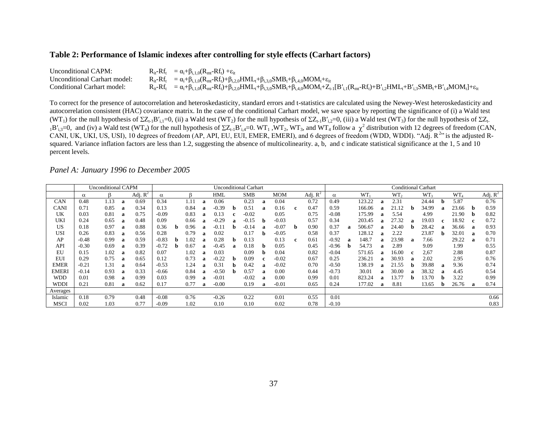### **Table 2: Performance of Islamic indexes after controlling for style effects (Carhart factors)**

| Unconditional CAPM:          | $R_{it} - Rf_t = \alpha_i + \beta_{i,1,0}(R_{mt} - Rf_t) + \varepsilon_{it}$                                                                                                                                                 |
|------------------------------|------------------------------------------------------------------------------------------------------------------------------------------------------------------------------------------------------------------------------|
| Unconditional Carhart model: | $R_{it} - Rf_t = \alpha_i + \beta_{i,1,0}(R_{mt} - Rf_t) + \beta_{i,2,0}HML_t + \beta_{i,3,0}SMB_t + \beta_{i,4,0}MOM_t + \epsilon_{it}$                                                                                     |
| Conditional Carhart model:   | $R_{it} = Rf_t = \alpha_i + \beta_{i,1,0}(R_{mt} - Rf_t) + \beta_{i,2,0}HML_t + \beta_{i,3,0}SMB_t + \beta_{i,4,0}MOM_t + Z_{t-1}[B']_{i,1}(R_{mt} - Rf_t) + B'_{i,2}HML_t + B'_{i,3}SMB_t + B'_{i,4}MOM_t] + \epsilon_{it}$ |

To correct for the presence of autocorrelation and heteroskedasticity, standard errors and t-statistics are calculated using the Newey-West heteroskedasticity and autocorrelation consistent (HAC) covariance matrix. In the case of the conditional Carhart model, we save space by reporting the significance of (i) a Wald test (WT<sub>1</sub>) for the null hypothesis of  $\Sigma Z_{t-1}B'_{i,1}=0$ , (ii) a Wald test (WT<sub>2</sub>) for the null hypothesis of  $\Sigma Z_{t-1}B'_{i,2}=0$ , (iii) a Wald test (WT<sub>3</sub>) for the null hypothesis of  $\Sigma Z_{t-1}$  $_1B'_{1,3}=0$ , and (iv) a Wald test (WT<sub>4</sub>) for the null hypothesis of  $\Sigma Z_{t-1}B'_{1,4}=0$ . WT<sub>1</sub>,WT<sub>2</sub>, WT<sub>3</sub>, and WT<sub>4</sub> follow a  $\chi^2$  distribution with 12 degrees of freedom (CAN, CANI, UK, UKI, US, USI), 10 degrees of freedom (AP, API, EU, EUI, EMER, EMERI), and 6 degrees of freedom (WDD, WDDI). "Adj.  $R^{2\nu}$  is the adjusted Rsquared. Variance inflation factors are less than 1.2, suggesting the absence of multicolinearity. a, b, and c indicate statistical significance at the 1, 5 and 10 percent levels.

*Panel A: January 1996 to December 2005*

|              |          | <b>Unconditional CAPM</b> |             |            |          |    |      |   |         |              | <b>Unconditional Carhart</b> |   |         |          |            |          |             |        |   |                 |   | <b>Conditional Carhart</b> |   |                 |   |            |
|--------------|----------|---------------------------|-------------|------------|----------|----|------|---|---------|--------------|------------------------------|---|---------|----------|------------|----------|-------------|--------|---|-----------------|---|----------------------------|---|-----------------|---|------------|
|              | $\alpha$ | ß                         |             | Adj. $R^2$ | $\alpha$ |    |      |   | HML     |              | <b>SMB</b>                   |   | MOM     |          | Adj. $R^2$ | $\alpha$ |             | $WT_1$ |   | WT <sub>2</sub> |   | WT <sub>3</sub>            |   | WT <sub>4</sub> |   | Adj. $R^2$ |
| <b>CAN</b>   | 0.48     | 1.13                      | a           | 0.69       | 0.34     |    | 1.11 | а | 0.06    |              | 0.23                         | а | 0.04    |          | 0.72       | 0.49     |             | 123.22 |   | 2.31            |   | 24.44                      |   | 5.87            |   | 0.76       |
| CANI         | 0.71     | 0.85                      | a           | 0.34       | 0.13     |    | 0.84 | a | $-0.39$ | <sub>b</sub> | 0.51                         | а | 0.16    | c        | 0.47       | 0.59     |             | 166.06 |   |                 |   | 34.99                      |   | 23.66           |   | 0.59       |
| UK           | 0.03     | 0.81                      | a           | 0.75       | $-0.09$  |    | 0.83 | я | 0.13    |              | $-0.02$                      |   | 0.05    |          | 0.75       | $-0.08$  |             | 175.99 | я | 5.54            |   | 4.99                       |   | 21.90           |   | 0.82       |
| UKI          | 0.24     | 0.65                      | a           | 0.48       | 0.09     |    | 0.66 | а | $-0.29$ | я            |                              | h | $-0.03$ |          | 0.57       | 0.34     |             | 203.45 | я | 27.32           | я | 19.03                      | c | 18.92           |   | 0.72       |
| US           | 0.18     | 0.97                      | $\mathbf a$ | 0.88       | 0.36     | h. | 0.96 | а | $-0.11$ | h.           | $-0.14$                      | a | $-0.07$ | <b>b</b> | 0.90       | 0.37     | а           | 506.67 | я | 24.40           |   | 28.42                      |   | 36.66           | я | 0.93       |
| <b>USI</b>   | 0.26     | 0.83                      | a           | 0.56       | 0.28     |    | 0.79 | а | 0.02    |              | 0.17                         | h | $-0.05$ |          | 0.58       | 0.37     |             | 128.12 | я | 2.22            |   | 23.87                      |   | 32.01           | а | 0.70       |
| AP           | $-0.48$  | 0.99                      | $\mathbf a$ | 0.59       | $-0.83$  | h. | 1.02 | я | 0.28    | <b>b</b>     | 0.13                         |   | 0.13    | c        | 0.61       | $-0.92$  | $\mathbf a$ | 148.7  | a | 23.98           |   | 7.66                       |   | 29.22           | а | 0.71       |
| API          | $-0.30$  | 0.69                      | a           | 0.39       | $-0.72$  | b. | 0.67 | a | $-0.45$ | я            | 0.18                         | h | 0.05    |          | 0.45       | $-0.96$  | <b>b</b>    | 54.73  | a | 2.89            |   | 9.09                       |   | 1.99            |   | 0.55       |
| EU           | 0.15     | 1.02                      | $\mathbf a$ | 0.82       | 0.07     |    | 1.02 | а | 0.03    |              | 0.09                         | h | 0.04    |          | 0.82       | $-0.04$  |             | 571.65 | я | 16.00           | c | 2,67                       |   | 2.88            |   | 0.87       |
| <b>EUI</b>   | 0.29     | 0.75                      | $\mathbf a$ | 0.65       | 0.12     |    | 0.73 | а | $-0.22$ | n.           | 0.09                         | c | $-0.02$ |          | 0.67       | 0.25     |             | 236.21 | a | 30.93           |   | 2.02                       |   | 2.95            |   | 0.76       |
| <b>EMER</b>  | $-0.21$  | 1.31                      | a           | 0.64       | $-0.53$  |    | 1.24 | а | 0.31    | n.           | 0.42                         | a | $-0.02$ |          | 0.70       | $-0.50$  |             | 138.19 | а | 21.55           |   | 39.88                      | а | 9.36            |   | 0.74       |
| <b>EMERI</b> | $-0.14$  | 0.93                      | a           | 0.33       | $-0.66$  |    | 0.84 | а | $-0.50$ | n            | 0.57                         | a | 0.00    |          | 0.44       | $-0.73$  |             | 30.01  | я | 30.00           |   | 38.32                      |   | 4.45            |   | 0.54       |
| <b>WDD</b>   | 0.01     | 0.98                      | a           | 0.99       | 0.03     |    | 0.99 | а | $-0.01$ |              | $-0.02$                      | а | 0.00    |          | 0.99       | 0.01     |             | 823.24 |   | 3.77            |   | 13.70                      |   | 3.22            |   | 0.99       |
| WDDI         | 0.21     | 0.81                      | a           | 0.62       | 0.17     |    | 0.77 | a | $-0.00$ |              | 0.19                         | а | $-0.01$ |          | 0.65       | 0.24     |             | 177.02 |   | 8.81            |   | 13.65                      |   | 26.76           |   | 0.74       |
| Averages     |          |                           |             |            |          |    |      |   |         |              |                              |   |         |          |            |          |             |        |   |                 |   |                            |   |                 |   |            |
| Islamic      | 0.18     | 0.79                      |             | 0.48       | $-0.08$  |    | 0.76 |   | $-0.26$ |              | 0.22                         |   | 0.01    |          | 0.55       | 0.01     |             |        |   |                 |   |                            |   |                 |   | 0.66       |
| <b>MSCI</b>  | 0.02     | 1.03                      |             | 0.77       | $-0.09$  |    | 1.02 |   | 0.10    |              | 0.10                         |   | 0.02    |          | 0.78       | $-0.10$  |             |        |   |                 |   |                            |   |                 |   | 0.83       |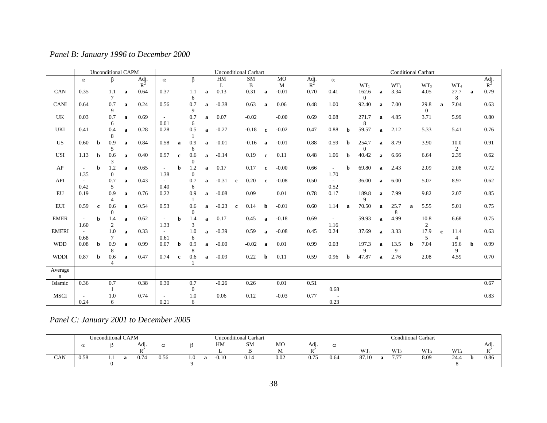|              |          |             | <b>Unconditional CAPM</b> |             |       |                |             |                     |              |         |             | <b>Unconditional Carhart</b> |              |         |                                 |          |              |                 |             |                 |   | <b>Conditional Carhart</b> |             |                 |   |            |
|--------------|----------|-------------|---------------------------|-------------|-------|----------------|-------------|---------------------|--------------|---------|-------------|------------------------------|--------------|---------|---------------------------------|----------|--------------|-----------------|-------------|-----------------|---|----------------------------|-------------|-----------------|---|------------|
|              | $\alpha$ |             | β                         |             | Adj.  | $\alpha$       |             | β                   |              | HM      |             | <b>SM</b>                    |              | MO      | $\frac{\text{Adj}}{\text{R}^2}$ | $\alpha$ |              |                 |             |                 |   |                            |             |                 |   | Adj. $R^2$ |
|              |          |             |                           |             | $R^2$ |                |             |                     |              | L       |             | B                            |              | M       |                                 |          |              | WT <sub>1</sub> |             | WT <sub>2</sub> |   | WT <sub>3</sub>            |             | WT <sub>4</sub> |   |            |
| CAN          | 0.35     |             | 1.1                       | a           | 0.64  | 0.37           |             | 1.1                 | a            | 0.13    |             | 0.31                         | a            | $-0.01$ | 0.70                            | 0.41     |              | 162.6           | a           | 3.34            |   | 4.05                       |             | 27.7            | a | 0.79       |
|              |          |             | $7\phantom{.0}$           |             |       |                |             | 6                   |              |         |             |                              |              |         |                                 |          |              | $\overline{0}$  |             |                 |   |                            |             | 8               |   |            |
| CANI         | 0.64     |             | 0.7                       | $\mathbf a$ | 0.24  | 0.56           |             | 0.7                 | $\mathbf{a}$ | $-0.38$ |             | 0.63                         | a            | 0.06    | 0.48                            | 1.00     |              | 92.40           | a           | 7.00            |   | 29.8                       | a           | 7.04            |   | 0.63       |
|              | 0.03     |             | 9<br>0.7                  |             | 0.69  |                |             | 9<br>0.7            |              |         |             |                              |              | $-0.00$ | 0.69                            | 0.08     |              | 271.7           |             |                 |   | $\overline{0}$             |             | 5.99            |   | 0.80       |
| UK           |          |             | 6                         | $\mathbf a$ |       | $\sim$<br>0.01 |             | 6                   | $\mathbf{a}$ | 0.07    |             | $-0.02$                      |              |         |                                 |          |              | 8               | a           | 4.85            |   | 3.71                       |             |                 |   |            |
| <b>UKI</b>   | 0.41     |             | 0.4                       | $\mathbf a$ | 0.28  | 0.28           |             | 0.5                 | $\mathbf{a}$ | $-0.27$ |             | $-0.18$                      | $\mathbf c$  | $-0.02$ | 0.47                            | 0.88     | b            | 59.57           | $\mathbf a$ | 2.12            |   | 5.33                       |             | 5.41            |   | 0.76       |
|              |          |             | 8                         |             |       |                |             |                     |              |         |             |                              |              |         |                                 |          |              |                 |             |                 |   |                            |             |                 |   |            |
| US           | 0.60     | b           | 0.9                       | $\bf a$     | 0.84  | 0.58           | a           | 0.9                 | $\mathbf{a}$ | $-0.01$ |             | $-0.16$                      | a            | $-0.01$ | 0.88                            | 0.59     | b            | 254.7           | $\mathbf a$ | 8.79            |   | 3.90                       |             | 10.0            |   | 0.91       |
|              |          |             | 5                         |             |       |                |             | 6                   |              |         |             |                              |              |         |                                 |          |              | $\mathbf{0}$    |             |                 |   |                            |             | 2               |   |            |
| <b>USI</b>   | 1.13     | b           | 0.6                       | $\mathbf a$ | 0.40  | 0.97           | $\mathbf c$ | 0.6                 | $\mathbf{a}$ | $-0.14$ |             | 0.19                         | $\mathbf c$  | 0.11    | 0.48                            | 1.06     | b            | 40.42           | $\mathbf a$ | 6.66            |   | 6.64                       |             | 2.39            |   | 0.62       |
|              |          |             |                           |             |       |                |             | $\overline{0}$      |              |         |             |                              |              |         |                                 |          |              |                 |             |                 |   |                            |             |                 |   |            |
| AP           | $\sim$   | $\mathbf b$ | 1.2                       | $\mathbf a$ | 0.65  | $\sim$         | b           | 1.2                 | $\mathbf{a}$ | 0.17    |             | 0.17                         | $\mathbf c$  | $-0.00$ | 0.66                            | $\sim$   | <sub>b</sub> | 69.80           | a           | 2.43            |   | 2.09                       |             | 2.08            |   | 0.72       |
|              | 1.35     |             | $\Omega$                  |             |       | 1.38           |             | $\overline{0}$      |              |         |             |                              |              |         |                                 | 1.70     |              |                 |             |                 |   |                            |             |                 |   |            |
| API          | $\sim$   |             | 0.7                       | $\mathbf a$ | 0.43  | $\sim$         |             | 0.7                 | $\mathbf{a}$ | $-0.31$ | $\mathbf c$ | 0.20                         | $\mathbf{c}$ | $-0.08$ | 0.50                            | $\sim$   |              | 36.00           | $\mathbf a$ | 6.00            |   | 5.07                       |             | 8.97            |   | 0.62       |
|              | 0.42     |             | 5                         |             |       | 0.40           |             | 6                   |              |         |             |                              |              |         |                                 | 0.52     |              |                 |             |                 |   |                            |             |                 |   |            |
| ${\rm EU}$   | 0.19     |             | 0.9                       | $\mathbf a$ | 0.76  | 0.22           |             | 0.9                 | $\mathbf{a}$ | $-0.08$ |             | 0.09                         |              | 0.01    | 0.78                            | 0.17     |              | 189.8           | $\mathbf a$ | 7.99            |   | 9.82                       |             | 2.07            |   | 0.85       |
|              |          |             |                           |             |       |                |             |                     |              |         |             |                              |              |         |                                 |          |              | 9               |             |                 |   |                            |             |                 |   |            |
| <b>EUI</b>   | 0.59     | $\mathbf c$ | 0.6                       | $\mathbf a$ | 0.54  | 0.53           |             | 0.6<br>$\mathbf{0}$ | a            | $-0.23$ | $\mathbf c$ | 0.14                         | b            | $-0.01$ | 0.60                            | 1.14     | a            | 70.50           | $\bf{a}$    | 25.7<br>8       | a | 5.55                       |             | 5.01            |   | 0.75       |
| <b>EMER</b>  | $\sim$   | b           | 1.4                       | $\bf a$     | 0.62  | $\sim$         | b           | 1.4                 | $\mathbf{a}$ | 0.17    |             | 0.45                         | a            | $-0.18$ | 0.69                            |          |              | 59.93           | a           | 4.99            |   | 10.8                       |             | 6.68            |   | 0.75       |
|              | 1.60     |             | $\overline{2}$            |             |       | 1.33           |             | 3                   |              |         |             |                              |              |         |                                 | 1.16     |              |                 |             |                 |   | $\overline{2}$             |             |                 |   |            |
| <b>EMERI</b> | $\sim$   |             | 1.0                       | $\mathbf a$ | 0.33  | $\sim$         |             | 1.0                 | $\mathbf{a}$ | $-0.39$ |             | 0.59                         | a            | $-0.08$ | 0.45                            | 0.24     |              | 37.69           | a           | 3.33            |   | 17.9                       | $\mathbf c$ | 11.4            |   | 0.63       |
|              | 0.68     |             |                           |             |       | 0.61           |             | 6                   |              |         |             |                              |              |         |                                 |          |              |                 |             |                 |   | 5                          |             | $\overline{4}$  |   |            |
| <b>WDD</b>   | 0.08     | $\mathbf b$ | 0.9                       | $\mathbf a$ | 0.99  | 0.07           | b           | 0.9                 | $\mathbf{a}$ | $-0.00$ |             | $-0.02$                      | a            | 0.01    | 0.99                            | 0.03     |              | 197.3           | a           | 13.5            | b | 7.04                       |             | 15.6            | b | 0.99       |
|              |          |             | 8                         |             |       |                |             | 8                   |              |         |             |                              |              |         |                                 |          |              | 9               |             | 9               |   |                            |             | 9               |   |            |
| <b>WDDI</b>  | 0.87     | b           | 0.6                       | a           | 0.47  | 0.74           | $\mathbf c$ | 0.6                 | a            | $-0.09$ |             | 0.22                         | b            | 0.11    | 0.59                            | 0.96     | b            | 47.87           | a           | 2.76            |   | 2.08                       |             | 4.59            |   | 0.70       |
|              |          |             |                           |             |       |                |             |                     |              |         |             |                              |              |         |                                 |          |              |                 |             |                 |   |                            |             |                 |   |            |
| Average      |          |             |                           |             |       |                |             |                     |              |         |             |                              |              |         |                                 |          |              |                 |             |                 |   |                            |             |                 |   |            |
| <sub>S</sub> |          |             |                           |             |       |                |             |                     |              |         |             |                              |              |         |                                 |          |              |                 |             |                 |   |                            |             |                 |   |            |
| Islamic      | 0.36     |             | 0.7                       |             | 0.38  | 0.30           |             | 0.7                 |              | $-0.26$ |             | 0.26                         |              | 0.01    | 0.51                            |          |              |                 |             |                 |   |                            |             |                 |   | 0.67       |
|              |          |             |                           |             |       |                |             | $\mathbf{0}$        |              |         |             |                              |              |         |                                 | 0.68     |              |                 |             |                 |   |                            |             |                 |   |            |
| <b>MSCI</b>  |          |             | 1.0                       |             | 0.74  |                |             | 1.0                 |              | 0.06    |             | 0.12                         |              | $-0.03$ | 0.77                            |          |              |                 |             |                 |   |                            |             |                 |   | 0.83       |
|              | 0.24     |             | 6                         |             |       | 0.21           |             | 6                   |              |         |             |                              |              |         |                                 | 0.23     |              |                 |             |                 |   |                            |             |                 |   |            |

*Panel B: January 1996 to December 2000*

*Panel C: January 2001 to December 2005*

|     |        | <b>Unconditional CAPM</b> |                                                             |      |      |              | Unconditional Carhart |                           |                                          |      |       |                             | <b>Conditional Carhart</b> |      |      |
|-----|--------|---------------------------|-------------------------------------------------------------|------|------|--------------|-----------------------|---------------------------|------------------------------------------|------|-------|-----------------------------|----------------------------|------|------|
|     | $\sim$ |                           | $\cdot$ $\cdot$<br>Ad <sub>1</sub> .<br>$\mathbf{D}^2$<br>v | α    |      | HM<br>. .    | <b>SM</b>             | MO<br>$\mathbf{A}$<br>IV. | $\cdot$<br>Adı.<br>$\mathbf{D}^2$<br>IX. | u    | WT    | <b>WT</b>                   | <b>WT</b>                  | WT.  | Ad1. |
| CAN | 0.58   | .                         | 0.74<br>a                                                   | 0.56 | U. L | $-0.10$<br>a | 0.14                  | $_{0.02}$                 | 0.75                                     | 0.64 | 87.10 | $\sim$ $\sim$<br>a<br>. . 1 | 8.09                       | 24.4 | 0.86 |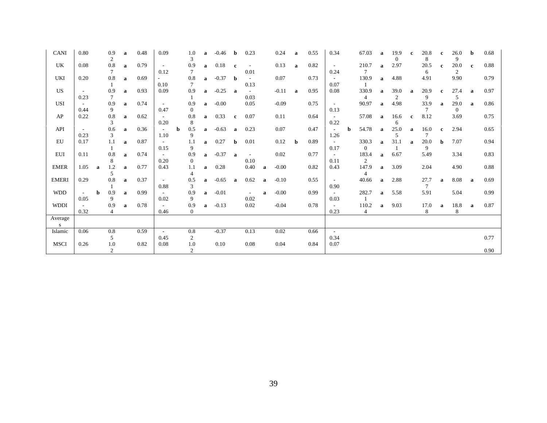| CANI         | 0.80   |   | 0.9<br>$\overline{c}$ | a            | 0.48 | 0.09         |   | 1.0<br>3       | a            | $-0.46$ | b           | 0.23                     |   | 0.24    | $\mathbf a$ | 0.55 | 0.34           |   | 67.03                   | a            | 19.9<br>$\Omega$ | c | 20.8<br>8 | c            | 26.0<br>9              | b            | 0.68 |
|--------------|--------|---|-----------------------|--------------|------|--------------|---|----------------|--------------|---------|-------------|--------------------------|---|---------|-------------|------|----------------|---|-------------------------|--------------|------------------|---|-----------|--------------|------------------------|--------------|------|
| UK           | 0.08   |   | 0.8<br>$\tau$         | $\mathbf{a}$ | 0.79 | $\sim$       |   | 0.9            | a            | 0.18    | $\mathbf c$ | $\overline{\phantom{a}}$ |   | 0.13    | a           | 0.82 | $\sim$         |   | 210.7<br>$\overline{7}$ | a            | 2.97             |   | 20.5      | $\mathbf{c}$ | 20.0                   | $\mathbf{c}$ | 0.88 |
| <b>UKI</b>   | 0.20   |   | 0.8                   | a            | 0.69 | 0.12         |   | 0.8            | a            | $-0.37$ | b           | 0.01<br>$\sim$           |   | 0.07    |             | 0.73 | 0.24<br>$\sim$ |   | 130.9                   | a            | 4.88             |   | 6<br>4.91 |              | $\overline{c}$<br>9.90 |              | 0.79 |
| US           | $\sim$ |   | 0.9                   | a            | 0.93 | 0.10<br>0.09 |   | 0.9            | $\mathbf a$  | $-0.25$ | a           | 0.13<br>$\sim$           |   | $-0.11$ | a           | 0.95 | 0.07<br>0.08   |   | -1<br>330.9             | a            | 39.0             | a | 20.9      | $\mathbf{c}$ | 27.4                   | a            | 0.97 |
|              | 0.23   |   | $\tau$                |              |      |              |   |                |              |         |             | 0.03                     |   |         |             |      |                |   | $\overline{4}$          |              | $\overline{2}$   |   | 9         |              | 5                      |              |      |
| USI          | $\sim$ |   | 0.9                   | a            | 0.74 | $\sim$       |   | 0.9            | a            | $-0.00$ |             | 0.05                     |   | $-0.09$ |             | 0.75 | $\sim$         |   | 90.97                   | $\mathbf a$  | 4.98             |   | 33.9      | a            | 29.0                   | $\mathbf a$  | 0.86 |
|              | 0.44   |   | 9                     |              |      | 0.47         |   | $\overline{0}$ |              |         |             |                          |   |         |             |      | 0.13           |   |                         |              |                  |   |           |              | $\Omega$               |              |      |
| AP           | 0.22   |   | 0.8                   | a            | 0.62 | $\sim$       |   | 0.8            | a            | 0.33    | $\mathbf c$ | 0.07                     |   | 0.11    |             | 0.64 | $\sim$         |   | 57.08                   | a            | 16.6             | c | 8.12      |              | 3.69                   |              | 0.75 |
|              |        |   | 3                     |              |      | 0.20         |   | 8              |              |         |             |                          |   |         |             |      | 0.22           |   |                         |              | 6                |   |           |              |                        |              |      |
| API          | $\sim$ |   | 0.6                   | a            | 0.36 | $\sim$       | b | 0.5            | a            | $-0.63$ | a           | 0.23                     |   | 0.07    |             | 0.47 | $\sim$         | b | 54.78                   | $\mathbf a$  | 25.0             | a | 16.0      | $\mathbf c$  | 2.94                   |              | 0.65 |
|              | 0.23   |   | 3                     |              |      | 1.10         |   | 9              |              |         |             |                          |   |         |             |      | 1.26           |   |                         |              | 5                |   |           |              |                        |              |      |
| ${\rm EU}$   | 0.17   |   | 1.1                   | $\mathbf a$  | 0.87 | $\sim$       |   | 1.1            | a            | 0.27    | b           | 0.01                     |   | 0.12    | b           | 0.89 | $\sim$         |   | 330.3                   | a            | 31.1             | a | 20.0      | b            | 7.07                   |              | 0.94 |
|              |        |   |                       |              |      | 0.15         |   | 9              |              |         |             |                          |   |         |             |      | 0.17           |   | $\Omega$                |              |                  |   | 9         |              |                        |              |      |
| EUI          | 0.11   |   | 0.8                   | $\mathbf{a}$ | 0.74 | $\sim$       |   | 0.9            | $\mathbf{a}$ | $-0.37$ | a           | $\overline{\phantom{a}}$ |   | 0.02    |             | 0.77 | $\sim$         |   | 183.4                   | a            | 6.67             |   | 5.49      |              | 3.34                   |              | 0.83 |
|              |        |   | 8                     |              |      | 0.20         |   | $\overline{0}$ |              |         |             | 0.10                     |   |         |             |      | 0.11           |   | 2                       |              |                  |   |           |              |                        |              |      |
| <b>EMER</b>  | 1.05   | a | 1.2                   | a            | 0.77 | 0.43         |   | 1.1            | a            | 0.28    |             | 0.40                     | a | $-0.00$ |             | 0.82 | 0.43           |   | 147.9                   | a            | 3.09             |   | 2.04      |              | 4.90                   |              | 0.88 |
|              |        |   |                       |              |      |              |   | 4              |              |         |             |                          |   |         |             |      |                |   | $\overline{4}$          |              |                  |   |           |              |                        |              |      |
| <b>EMERI</b> | 0.29   |   | 0.8                   | a            | 0.37 | $\sim$       |   | 0.5            | a            | $-0.65$ | a           | 0.62                     | a | $-0.10$ |             | 0.55 | $\sim$         |   | 40.66                   | a            | 2.88             |   | 27.7      | a            | 8.08                   | a            | 0.69 |
|              |        |   |                       |              |      | 0.88         |   | 3              |              |         |             |                          |   |         |             |      | 0.90           |   |                         |              |                  |   | $\tau$    |              |                        |              |      |
| <b>WDD</b>   |        | b | 0.9                   | a            | 0.99 | $\sim$       |   | 0.9            | a            | $-0.01$ |             | $\sim$                   | a | $-0.00$ |             | 0.99 | $\sim$         |   | 282.7                   | a            | 5.58             |   | 5.91      |              | 5.04                   |              | 0.99 |
|              | 0.05   |   | 9                     |              |      | 0.02         |   | 9              |              |         |             | 0.02                     |   |         |             |      | 0.03           |   |                         |              |                  |   |           |              |                        |              |      |
| <b>WDDI</b>  |        |   | 0.9                   | a            | 0.78 | $\sim$       |   | 0.9            | a            | $-0.13$ |             | 0.02                     |   | $-0.04$ |             | 0.78 | $\sim$         |   | 110.2                   | $\mathbf{a}$ | 9.03             |   | 17.0      | a            | 18.8                   | a            | 0.87 |
|              | 0.32   |   | 4                     |              |      | 0.46         |   | $\mathbf{0}$   |              |         |             |                          |   |         |             |      | 0.23           |   | $\overline{4}$          |              |                  |   | 8         |              | 8                      |              |      |
| Average      |        |   |                       |              |      |              |   |                |              |         |             |                          |   |         |             |      |                |   |                         |              |                  |   |           |              |                        |              |      |
| ${\bf S}$    |        |   |                       |              |      |              |   |                |              |         |             |                          |   |         |             |      |                |   |                         |              |                  |   |           |              |                        |              |      |
| Islamic      | 0.06   |   | 0.8                   |              | 0.59 | $\sim$       |   | 0.8            |              | $-0.37$ |             | 0.13                     |   | 0.02    |             | 0.66 | $\sim$         |   |                         |              |                  |   |           |              |                        |              |      |
|              |        |   | 5                     |              |      | 0.45         |   | 2              |              |         |             |                          |   |         |             |      | 0.34           |   |                         |              |                  |   |           |              |                        |              | 0.77 |
| <b>MSCI</b>  | 0.26   |   | 1.0                   |              | 0.82 | 0.08         |   | 1.0            |              | 0.10    |             | 0.08                     |   | 0.04    |             | 0.84 | 0.07           |   |                         |              |                  |   |           |              |                        |              |      |
|              |        |   | $\overline{2}$        |              |      |              |   | $\overline{2}$ |              |         |             |                          |   |         |             |      |                |   |                         |              |                  |   |           |              |                        |              | 0.90 |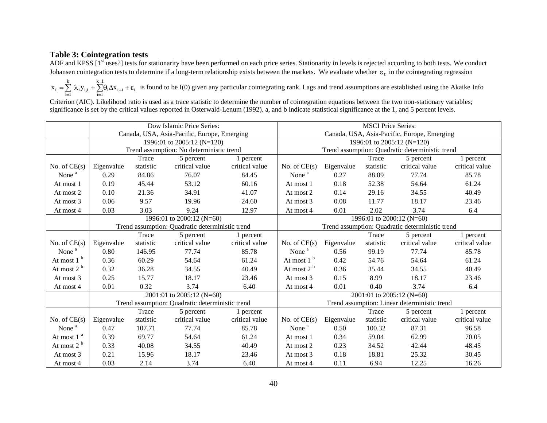### **Table 3: Cointegration tests**

ADF and KPSS [1<sup>st uses?]</sup> tests for stationarity have been performed on each price series. Stationarity in levels is rejected according to both tests. We conduct Johansen cointegration tests to determine if a long-term relationship exists between the markets. We evaluate whether  $\varepsilon_t$  in the cointegrating regression

 $_{\rm k-1}$  $i y_{i,t} + \sum_{i=1}^{\infty} \sigma_i \Delta x_{t-i} + \varepsilon_t$ k  $x_t = \sum_{i=1} \lambda_i y_{i,t} + \sum_{i=1} \theta_i \Delta x_{t-i} + \varepsilon_t$  is found to be I(0) given any particular cointegrating rank. Lags and trend assumptions are established using the Akaike Info

Criterion (AIC). Likelihood ratio is used as a trace statistic to determine the number of cointegration equations between the two non-stationary variables; significance is set by the critical values reported in Osterwald-Lenum (1992). a, and b indicate statistical significance at the 1, and 5 percent levels.

|                        |                                 |           | Dow Islamic Price Series:                       |                |                   |            | <b>MSCI</b> Price Series: |                                                 |                |
|------------------------|---------------------------------|-----------|-------------------------------------------------|----------------|-------------------|------------|---------------------------|-------------------------------------------------|----------------|
|                        |                                 |           | Canada, USA, Asia-Pacific, Europe, Emerging     |                |                   |            |                           | Canada, USA, Asia-Pacific, Europe, Emerging     |                |
|                        |                                 |           | 1996:01 to 2005:12 (N=120)                      |                |                   |            |                           | 1996:01 to 2005:12 (N=120)                      |                |
|                        |                                 |           | Trend assumption: No deterministic trend        |                |                   |            |                           | Trend assumption: Quadratic deterministic trend |                |
|                        |                                 | Trace     | 5 percent                                       | 1 percent      |                   |            | Trace                     | 5 percent                                       | 1 percent      |
| No. of $CE(s)$         | Eigenvalue                      | statistic | critical value                                  | critical value | No. of $CE(s)$    | Eigenvalue | statistic                 | critical value                                  | critical value |
| None <sup>a</sup>      | 0.29                            | 84.86     | 76.07                                           | 84.45          | None <sup>a</sup> | 0.27       | 88.89                     | 77.74                                           | 85.78          |
| At most 1              | 0.19                            | 45.44     | 53.12                                           | 60.16          | At most 1         | 0.18       | 52.38                     | 54.64                                           | 61.24          |
| At most 2              | 0.10                            | 21.36     | 34.91                                           | 41.07          | At most 2         | 0.14       | 29.16                     | 34.55                                           | 40.49          |
| At most 3              | 0.06                            | 9.57      | 19.96                                           | 24.60          | At most 3         | 0.08       | 11.77                     | 18.17                                           | 23.46          |
| At most 4              | 0.03                            | 3.03      | 9.24                                            | 12.97          | At most 4         | 0.01       | 2.02                      | 3.74                                            | 6.4            |
|                        |                                 |           | 1996:01 to 2000:12 (N=60)                       |                |                   |            |                           | 1996:01 to 2000:12 (N=60)                       |                |
|                        |                                 |           | Trend assumption: Quadratic deterministic trend |                |                   |            |                           | Trend assumption: Quadratic deterministic trend |                |
|                        |                                 | Trace     | 5 percent                                       | 1 percent      |                   |            | Trace                     | 5 percent                                       | 1 percent      |
| No. of $CE(s)$         | Eigenvalue                      | statistic | critical value                                  | critical value | No. of $CE(s)$    | Eigenvalue | statistic                 | critical value                                  | critical value |
| None <sup>a</sup>      | 0.80                            | 146.95    | 77.74                                           | 85.78          | None <sup>a</sup> | 0.56       | 99.19                     | 77.74                                           | 85.78          |
| At most $1b$           | 0.36                            | 60.29     | 54.64                                           | 61.24          | At most $1b$      | 0.42       | 54.76                     | 54.64                                           | 61.24          |
| At most 2 $b$          | 0.32                            | 36.28     | 34.55                                           | 40.49          | At most $2b$      | 0.36       | 35.44                     | 34.55                                           | 40.49          |
| At most 3              | 0.25                            | 15.77     | 18.17                                           | 23.46          | At most 3         | 0.15       | 8.99                      | 18.17                                           | 23.46          |
| At most 4              | 0.01                            | 0.32      | 3.74                                            | 6.40           | At most 4         | 0.01       | 0.40                      | 3.74                                            | 6.4            |
|                        |                                 |           | 2001:01 to 2005:12 (N=60)                       |                |                   |            |                           | 2001:01 to 2005:12 (N=60)                       |                |
|                        |                                 |           | Trend assumption: Quadratic deterministic trend |                |                   |            |                           | Trend assumption: Linear deterministic trend    |                |
|                        |                                 | Trace     | 5 percent                                       | 1 percent      |                   |            | Trace                     | 5 percent                                       | 1 percent      |
| No. of $CE(s)$         | Eigenvalue                      | statistic | critical value                                  | critical value | No. of $CE(s)$    | Eigenvalue | statistic                 | critical value                                  | critical value |
| None <sup>a</sup>      | 0.47                            | 107.71    | 77.74                                           | 85.78          | None <sup>a</sup> | 0.50       | 100.32                    | 87.31                                           | 96.58          |
| At most 1 <sup>a</sup> | 0.39                            | 69.77     | 54.64                                           | 61.24          | At most 1         | 0.34       | 59.04                     | 62.99                                           | 70.05          |
| At most 2 $b$          | 40.08<br>0.33<br>34.55<br>40.49 |           |                                                 |                | At most 2         | 0.23       | 34.52                     | 42.44                                           | 48.45          |
| At most 3              | 0.21                            | 15.96     | 18.17                                           | 23.46          | At most 3         | 0.18       | 18.81                     | 25.32                                           | 30.45          |
| At most 4              | 0.03                            | 2.14      | 3.74                                            | 6.40           | At most 4         | 0.11       | 6.94                      | 12.25                                           | 16.26          |